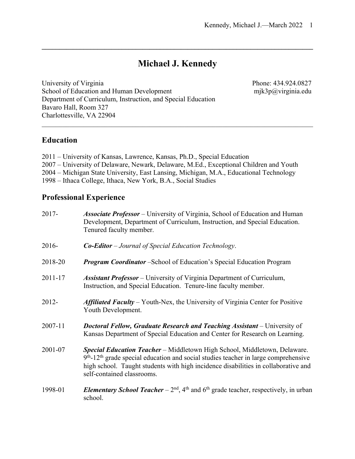# **Michael J. Kennedy**

**\_\_\_\_\_\_\_\_\_\_\_\_\_\_\_\_\_\_\_\_\_\_\_\_\_\_\_\_\_\_\_\_\_\_\_\_\_\_\_\_\_\_\_\_\_\_\_\_\_\_\_\_\_\_\_\_\_\_\_\_\_\_\_\_\_\_\_\_\_\_\_\_\_\_\_\_\_\_**

University of Virginia Phone: 434.924.0827 School of Education and Human Development mik3p $\omega$ virginia.edu Department of Curriculum, Instruction, and Special Education Bavaro Hall, Room 327 Charlottesville, VA 22904

### **Education**

2011 – University of Kansas, Lawrence, Kansas, Ph.D., Special Education

2007 – University of Delaware, Newark, Delaware, M.Ed., Exceptional Children and Youth

2004 – Michigan State University, East Lansing, Michigan, M.A., Educational Technology

1998 – Ithaca College, Ithaca, New York, B.A., Social Studies

### **Professional Experience**

| $2017 -$    | <b>Associate Professor</b> – University of Virginia, School of Education and Human<br>Development, Department of Curriculum, Instruction, and Special Education.<br>Tenured faculty member.                                                                                                        |
|-------------|----------------------------------------------------------------------------------------------------------------------------------------------------------------------------------------------------------------------------------------------------------------------------------------------------|
| $2016-$     | <b>Co-Editor</b> – Journal of Special Education Technology.                                                                                                                                                                                                                                        |
| 2018-20     | <b>Program Coordinator</b> – School of Education's Special Education Program                                                                                                                                                                                                                       |
| $2011 - 17$ | <b>Assistant Professor</b> – University of Virginia Department of Curriculum,<br>Instruction, and Special Education. Tenure-line faculty member.                                                                                                                                                   |
| 2012-       | <b>Affiliated Faculty</b> – Youth-Nex, the University of Virginia Center for Positive<br>Youth Development.                                                                                                                                                                                        |
| 2007-11     | <b>Doctoral Fellow, Graduate Research and Teaching Assistant</b> – University of<br>Kansas Department of Special Education and Center for Research on Learning.                                                                                                                                    |
| 2001-07     | Special Education Teacher – Middletown High School, Middletown, Delaware.<br>$9th$ -12 <sup>th</sup> grade special education and social studies teacher in large comprehensive<br>high school. Taught students with high incidence disabilities in collaborative and<br>self-contained classrooms. |
| 1998-01     | <i>Elementary School Teacher</i> – $2nd$ , 4 <sup>th</sup> and 6 <sup>th</sup> grade teacher, respectively, in urban<br>school.                                                                                                                                                                    |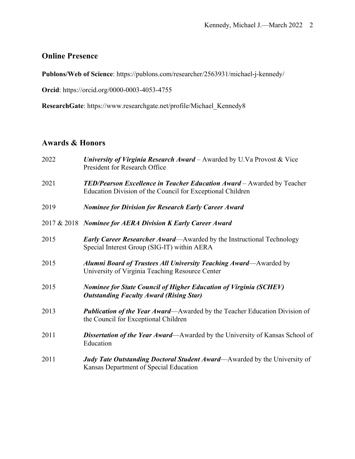## **Online Presence**

**Publons/Web of Science**: https://publons.com/researcher/2563931/michael-j-kennedy/

**Orcid**: https://orcid.org/0000-0003-4053-4755

**ResearchGate**: https://www.researchgate.net/profile/Michael\_Kennedy8

## **Awards & Honors**

| 2022 | University of Virginia Research Award - Awarded by U.Va Provost & Vice<br>President for Research Office                                     |
|------|---------------------------------------------------------------------------------------------------------------------------------------------|
| 2021 | <b>TED/Pearson Excellence in Teacher Education Award – Awarded by Teacher</b><br>Education Division of the Council for Exceptional Children |
| 2019 | <b>Nominee for Division for Research Early Career Award</b>                                                                                 |
|      | 2017 & 2018 Nominee for AERA Division K Early Career Award                                                                                  |
| 2015 | <b>Early Career Researcher Award—Awarded by the Instructional Technology</b><br>Special Interest Group (SIG-IT) within AERA                 |
| 2015 | <b>Alumni Board of Trustees All University Teaching Award—Awarded by</b><br>University of Virginia Teaching Resource Center                 |
| 2015 | <b>Nominee for State Council of Higher Education of Virginia (SCHEV)</b><br><b>Outstanding Faculty Award (Rising Star)</b>                  |
| 2013 | <b>Publication of the Year Award—Awarded by the Teacher Education Division of</b><br>the Council for Exceptional Children                   |
| 2011 | Dissertation of the Year Award—Awarded by the University of Kansas School of<br>Education                                                   |
| 2011 | <b>Judy Tate Outstanding Doctoral Student Award—Awarded by the University of</b><br>Kansas Department of Special Education                  |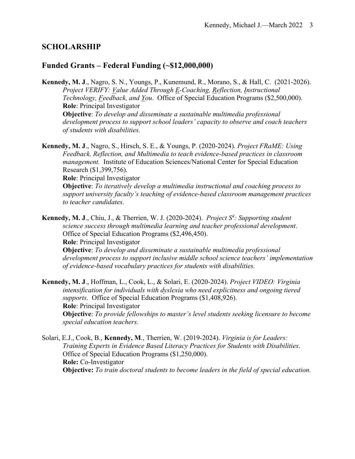### **SCHOLARSHIP**

### **Funded Grants – Federal Funding (~\$12,000,000)**

**Kennedy, M. J**., Nagro, S. N., Youngs, P., Kunemund, R., Morano, S., & Hall, C. (2021-2026). *Project VERIFY: Value Added Through E-Coaching, Reflection, Instructional Technology, Feedback, and You*. Office of Special Education Programs (\$2,500,000). **Role**: Principal Investigator **Objective**: *To develop and disseminate a sustainable multimedia professional development process to support school leaders' capacity to observe and coach teachers* 

*of students with disabilities.* 

**Kennedy, M. J**., Nagro, S., Hirsch, S. E., & Youngs, P. (2020-2024). *Project FRaME: Using Feedback, Reflection, and Multimedia to teach evidence-based practices in classroom management.* Institute of Education Sciences/National Center for Special Education Research (\$1,399,756).

**Role**: Principal Investigator

**Objective**: *To iteratively develop a multimedia instructional and coaching process to support university faculty's teaching of evidence-based classroom management practices to teacher candidates.* 

**Kennedy, M. J**., Chiu, J., & Therrien, W. J. (2020-2024). *Project S4 : Supporting student science success through multimedia learning and teacher professional development*. Office of Special Education Programs (\$2,496,450). **Role**: Principal Investigator **Objective**: *To develop and disseminate a sustainable multimedia professional development process to support inclusive middle school science teachers' implementation of evidence-based vocabulary practices for students with disabilities.* 

**Kennedy, M. J**., Hoffman, L., Cook, L., & Solari, E. (2020-2024). *Project VIDEO: Virginia intensification for individuals with dyslexia who need explicitness and ongoing tiered supports*. Office of Special Education Programs (\$1,408,926). **Role**: Principal Investigator **Objective**: *To provide fellowships to master's level students seeking licensure to become special education teachers.* 

Solari, E.J., Cook, B., **Kennedy, M**., Therrien, W. (2019-2024). *Virginia is for Leaders: Training Experts in Evidence Based Literacy Practices for Students with Disabilities*. Office of Special Education Programs (\$1,250,000). **Role:** Co-Investigator **Objective:** *To train doctoral students to become leaders in the field of special education.*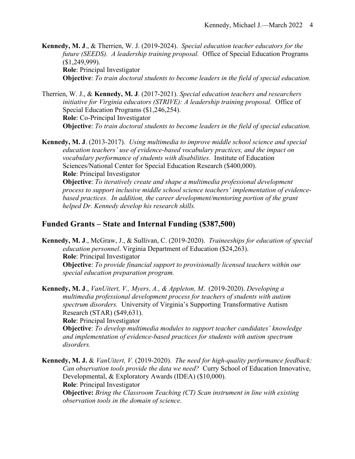**Kennedy, M. J**., & Therrien, W. J. (2019-2024). *Special education teacher educators for the future (SEEDS). A leadership training proposal.* Office of Special Education Programs (\$1,249,999). **Role**: Principal Investigator

**Objective**: *To train doctoral students to become leaders in the field of special education.*

Therrien, W. J., & **Kennedy, M. J**. (2017-2021). *Special education teachers and researchers initiative for Virginia educators (STRIVE): A leadership training proposal.* Office of Special Education Programs (\$1,246,254). **Role**: Co-Principal Investigator **Objective**: *To train doctoral students to become leaders in the field of special education.* 

**Kennedy, M. J**. (2013-2017). *Using multimedia to improve middle school science and special education teachers' use of evidence-based vocabulary practices, and the impact on vocabulary performance of students with disabilities*. Institute of Education Sciences/National Center for Special Education Research (\$400,000). **Role**: Principal Investigator

**Objective**: *To iteratively create and shape a multimedia professional development process to support inclusive middle school science teachers' implementation of evidencebased practices. In addition, the career development/mentoring portion of the grant helped Dr. Kennedy develop his research skills.* 

### **Funded Grants – State and Internal Funding (\$387,500)**

**Kennedy, M. J**., McGraw, J., & Sullivan, C. (2019-2020). *Traineeships for education of special education personnel*. Virginia Department of Education (\$24,263). **Role**: Principal Investigator **Objective**: *To provide financial support to provisionally licensed teachers within our special education preparation program.*

**Kennedy, M. J**., *VanUitert, V., Myers, A., & Appleton, M*. (2019-2020). *Developing a multimedia professional development process for teachers of students with autism spectrum disorders.* University of Virginia's Supporting Transformative Autism Research (STAR) (\$49,631).

**Role**: Principal Investigator

**Objective**: *To develop multimedia modules to support teacher candidates' knowledge and implementation of evidence-based practices for students with autism spectrum disorders.* 

**Kennedy, M. J.** & *VanUitert, V.* (2019-2020). *The need for high-quality performance feedback: Can observation tools provide the data we need?* Curry School of Education Innovative, Developmental, & Exploratory Awards (IDEA) (\$10,000). **Role**: Principal Investigator **Objective:** *Bring the Classroom Teaching (CT) Scan instrument in line with existing* 

*observation tools in the domain of science.*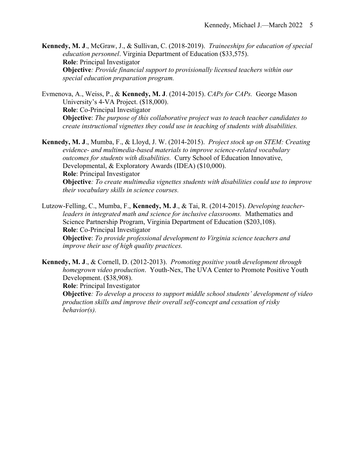**Kennedy, M. J**., McGraw, J., & Sullivan, C. (2018-2019). *Traineeships for education of special education personnel*. Virginia Department of Education (\$33,575). **Role**: Principal Investigator **Objective***: Provide financial support to provisionally licensed teachers within our special education preparation program.* 

Evmenova, A., Weiss, P., & **Kennedy, M. J**. (2014-2015). *CAPs for CAPs.* George Mason University's 4-VA Project. (\$18,000). **Role**: Co-Principal Investigator **Objective**: *The purpose of this collaborative project was to teach teacher candidates to create instructional vignettes they could use in teaching of students with disabilities.* 

**Kennedy, M. J**., Mumba, F., & Lloyd, J. W. (2014-2015). *Project stock up on STEM: Creating evidence- and multimedia-based materials to improve science-related vocabulary outcomes for students with disabilities.* Curry School of Education Innovative, Developmental, & Exploratory Awards (IDEA) (\$10,000). **Role**: Principal Investigator **Objective***: To create multimedia vignettes students with disabilities could use to improve their vocabulary skills in science courses.* 

Lutzow-Felling, C., Mumba, F., **Kennedy, M. J**., & Tai, R. (2014-2015). *Developing teacherleaders in integrated math and science for inclusive classrooms.* Mathematics and Science Partnership Program, Virginia Department of Education (\$203,108). **Role**: Co-Principal Investigator **Objective**: *To provide professional development to Virginia science teachers and improve their use of high quality practices.* 

**Kennedy, M. J**., & Cornell, D. (2012-2013). *Promoting positive youth development through homegrown video production*. Youth-Nex, The UVA Center to Promote Positive Youth Development. (\$38,908).

**Role**: Principal Investigator

**Objective***: To develop a process to support middle school students' development of video production skills and improve their overall self-concept and cessation of risky behavior(s).*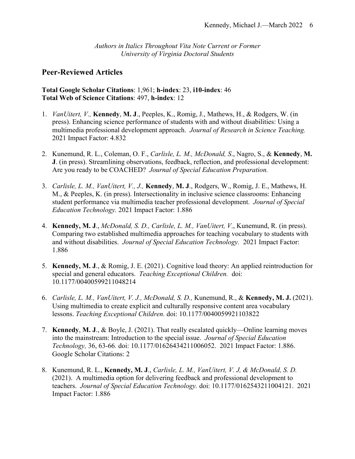*Authors in Italics Throughout Vita Note Current or Former University of Virginia Doctoral Students* 

### **Peer-Reviewed Articles**

**Total Google Scholar Citations**: 1,961; **h-index**: 23, **i10-index**: 46 **Total Web of Science Citations**: 497, **h-index**: 12

- 1. *VanUitert, V.,* **Kennedy**, **M. J**., Peeples, K., Romig, J., Mathews, H., & Rodgers, W. (in press). Enhancing science performance of students with and without disabilities: Using a multimedia professional development approach. *Journal of Research in Science Teaching.*  2021 Impact Factor: 4.832
- 2. Kunemund, R. L., Coleman, O. F., *Carlisle, L. M., McDonald, S*., Nagro, S., & **Kennedy**, **M. J**. (in press). Streamlining observations, feedback, reflection, and professional development: Are you ready to be COACHED? *Journal of Special Education Preparation.*
- 3. *Carlisle, L. M., VanUitert, V., J.,* **Kennedy**, **M. J**., Rodgers, W., Romig, J. E., Mathews, H. M., & Peeples, K. (in press). Intersectionality in inclusive science classrooms: Enhancing student performance via multimedia teacher professional development. *Journal of Special Education Technology.* 2021 Impact Factor: 1.886
- 4. **Kennedy, M. J**., *McDonald, S. D., Carlisle, L. M., VanUitert, V*., Kunemund, R. (in press). Comparing two established multimedia approaches for teaching vocabulary to students with and without disabilities. *Journal of Special Education Technology.* 2021 Impact Factor: 1.886
- 5. **Kennedy, M. J**., & Romig, J. E. (2021). Cognitive load theory: An applied reintroduction for special and general educators. *Teaching Exceptional Children.* doi: 10.1177/00400599211048214
- 6. *Carlisle, L. M., VanUitert, V. J., McDonald, S. D.,* Kunemund, R., & **Kennedy, M. J.** (2021). Using multimedia to create explicit and culturally responsive content area vocabulary lessons. *Teaching Exceptional Children.* doi: 10.1177/0040059921103822
- 7. **Kennedy**, **M. J**., & Boyle, J. (2021). That really escalated quickly—Online learning moves into the mainstream: Introduction to the special issue. *Journal of Special Education Technology,* 36, 63-66*.* doi: 10.1177/01626434211006052. 2021 Impact Factor: 1.886. Google Scholar Citations: 2
- 8. Kunemund, R. L., **Kennedy, M. J**., *Carlisle, L. M., VanUitert, V. J, & McDonald, S. D.* (2021). A multimedia option for delivering feedback and professional development to teachers. *Journal of Special Education Technology.* doi: 10.1177/0162543211004121. 2021 Impact Factor: 1.886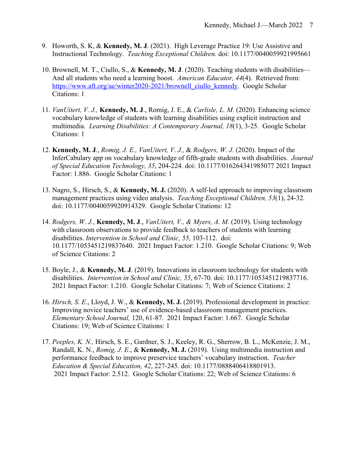- 9. Howorth, S. K, & **Kennedy, M. J**. (2021). High Leverage Practice 19: Use Assistive and Instructional Technology. *Teaching Exceptional Children.* doi: 10.1177/0040059921995661
- 10. Brownell, M. T., Ciullo, S., & **Kennedy, M. J**. (2020). Teaching students with disabilities— And all students who need a learning boost. *American Educator, 44*(4). Retrieved from: https://www.aft.org/ae/winter2020-2021/brownell\_ciullo\_kennedy. Google Scholar Citations: 1
- 11. *VanUitert, V. J.,* **Kennedy, M. J**., Romig, J. E., & *Carlisle, L. M*. (2020). Enhancing science vocabulary knowledge of students with learning disabilities using explicit instruction and multimedia. *Learning Disabilities: A Contemporary Journal, 18*(1), 3-25. Google Scholar Citations: 1
- 12. **Kennedy, M. J**., *Romig, J. E., VanUitert, V*. *J.,* & *Rodgers, W. J.* (2020). Impact of the InferCabulary app on vocabulary knowledge of fifth-grade students with disabilities. *Journal of Special Education Technology, 35*, 204-224*.* doi: 10.1177/016264341985077 2021 Impact Factor: 1.886. Google Scholar Citations: 1
- 13. Nagro, S., Hirsch, S., & **Kennedy, M. J.** (2020). A self-led approach to improving classroom management practices using video analysis. *Teaching Exceptional Children, 53*(1), 24-32*.*  doi: 10.1177/0040059920914329. Google Scholar Citations: 12
- 14. *Rodgers, W. J.*, **Kennedy, M. J**., *VanUitert, V., & Myers, A. M.* (2019). Using technology with classroom observations to provide feedback to teachers of students with learning disabilities. *Intervention in School and Clinic, 55,* 103-112. doi: 10.1177/1053451219837640. 2021 Impact Factor: 1.210. Google Scholar Citations: 9; Web of Science Citations: 2
- 15. Boyle, J., & **Kennedy, M. J**. (2019). Innovations in classroom technology for students with disabilities. *Intervention in School and Clinic, 55*, 67-70*.* doi: 10.1177/1053451219837716. 2021 Impact Factor: 1.210. Google Scholar Citations: 7; Web of Science Citations: 2
- 16. *Hirsch, S. E*., Lloyd, J. W., & **Kennedy, M. J.** (2019). Professional development in practice: Improving novice teachers' use of evidence-based classroom management practices. *Elementary School Journal,* 120, 61-87. 2021 Impact Factor: 1.667. Google Scholar Citations: 19; Web of Science Citations: 1
- 17. *Peeples, K. N.,* Hirsch, S. E., Gardner, S. J., Keeley, R. G., Sherrow, B. L., McKenzie, J. M., Randall, K. N., *Romig, J. E*., & **Kennedy, M. J.** (2019). Using multimedia instruction and performance feedback to improve preservice teachers' vocabulary instruction. *Teacher Education & Special Education, 42*, 227-245*.* doi: 10.1177/0888406418801913. 2021 Impact Factor: 2.512. Google Scholar Citations: 22; Web of Science Citations: 6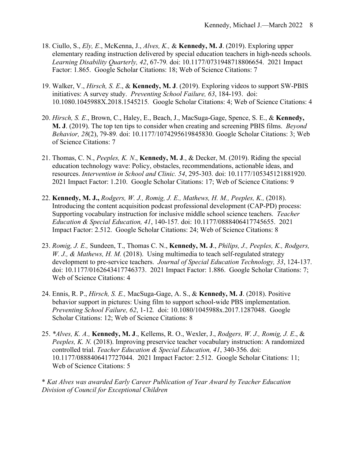- 18. Ciullo, S., *Ely, E*., McKenna, J., *Alves, K.,* & **Kennedy, M. J**. (2019). Exploring upper elementary reading instruction delivered by special education teachers in high-needs schools. *Learning Disability Quarterly, 42*, 67-79*.* doi: 10.1177/0731948718806654. 2021 Impact Factor: 1.865. Google Scholar Citations: 18; Web of Science Citations: 7
- 19. Walker, V., *Hirsch, S. E*., & **Kennedy, M. J**. (2019). Exploring videos to support SW-PBIS initiatives: A survey study. *Preventing School Failure, 63*, 184-193. doi: 10.1080.1045988X.2018.1545215*.* Google Scholar Citations: 4; Web of Science Citations: 4
- 20. *Hirsch, S. E*., Brown, C., Haley, E., Beach, J., MacSuga-Gage, Spence, S. E., & **Kennedy, M. J**. (2019). The top ten tips to consider when creating and screening PBIS films. *Beyond Behavior, 28*(2), 79-89*.* doi: 10.1177/1074295619845830. Google Scholar Citations: 3; Web of Science Citations: 7
- 21. Thomas, C. N., *Peeples, K. N*., **Kennedy, M. J**., & Decker, M. (2019). Riding the special education technology wave: Policy, obstacles, recommendations, actionable ideas, and resources. *Intervention in School and Clinic. 54*, 295-303*.* doi: 10.1177/105345121881920. 2021 Impact Factor: 1.210. Google Scholar Citations: 17; Web of Science Citations: 9
- 22. **Kennedy, M. J.,** *Rodgers, W. J., Romig, J. E., Mathews, H. M., Peeples, K.,* (2018). Introducing the content acquisition podcast professional development (CAP-PD) process: Supporting vocabulary instruction for inclusive middle school science teachers. *Teacher Education & Special Education, 41*, 140-157*.* doi: 10.1177/0888406417745655. 2021 Impact Factor: 2.512. Google Scholar Citations: 24; Web of Science Citations: 8
- 23. *Romig, J. E.,* Sundeen, T., Thomas C. N., **Kennedy, M. J**., *Philips, J., Peeples, K., Rodgers, W. J., & Mathews, H. M.* (2018). Using multimedia to teach self-regulated strategy development to pre-service teachers. *Journal of Special Education Technology, 33*, 124-137. doi: 10.1177/0162643417746373. 2021 Impact Factor: 1.886. Google Scholar Citations: 7; Web of Science Citations: 4
- 24. Ennis, R. P., *Hirsch, S. E.,* MacSuga-Gage, A. S., & **Kennedy, M. J**. (2018). Positive behavior support in pictures: Using film to support school-wide PBS implementation. *Preventing School Failure, 62*, 1-12*.* doi: 10.1080/1045988x.2017.1287048. Google Scholar Citations: 12; Web of Science Citations: 8
- 25. *\*Alves, K. A.,* **Kennedy, M. J**., Kellems, R. O., Wexler, J., *Rodgers, W. J., Romig, J. E*., & *Peeples, K. N.* (2018). Improving preservice teacher vocabulary instruction: A randomized controlled trial. *Teacher Education & Special Education, 41*, 340-356*.* doi: 10.1177/0888406417727044. 2021 Impact Factor: 2.512. Google Scholar Citations: 11; Web of Science Citations: 5

\* *Kat Alves was awarded Early Career Publication of Year Award by Teacher Education Division of Council for Exceptional Children*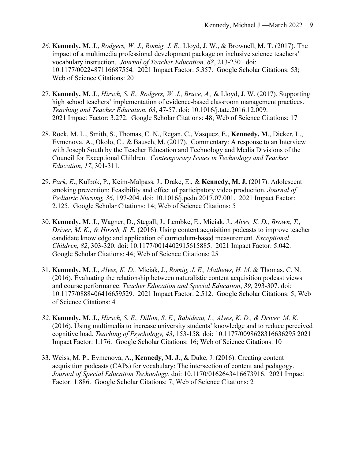- *26.* **Kennedy, M. J**., *Rodgers, W. J., Romig, J. E.,* Lloyd, J. W., & Brownell, M. T. (2017). The impact of a multimedia professional development package on inclusive science teachers' vocabulary instruction. *Journal of Teacher Education, 68*, 213-230*.* doi: 10.1177/0022487116687554*.* 2021 Impact Factor: 5.357. Google Scholar Citations: 53; Web of Science Citations: 20
- 27. **Kennedy, M. J**., *Hirsch, S. E., Rodgers, W. J., Bruce, A.,* & Lloyd, J. W. (2017). Supporting high school teachers' implementation of evidence-based classroom management practices. *Teaching and Teacher Education. 63*, 47-57. doi: 10.1016/j.tate.2016.12.009. 2021 Impact Factor: 3.272. Google Scholar Citations: 48; Web of Science Citations: 17
- 28. Rock, M. L., Smith, S., Thomas, C. N., Regan, C., Vasquez, E., **Kennedy, M**., Dieker, L., Evmenova, A., Okolo, C., & Bausch, M. (2017). Commentary: A response to an Interview with Joseph South by the Teacher Education and Technology and Media Divisions of the Council for Exceptional Children. *Contemporary Issues in Technology and Teacher Education, 17*, 301-311.
- 29. *Park, E*., Kulbok, P., Keim-Malpass, J., Drake, E., & **Kennedy, M. J.** (2017). Adolescent smoking prevention: Feasibility and effect of participatory video production. *Journal of Pediatric Nursing, 36*, 197-204. doi: 10.1016/j.pedn.2017.07.001. 2021 Impact Factor: 2.125. Google Scholar Citations: 14; Web of Science Citations: 5
- 30. **Kennedy, M. J**., Wagner, D., Stegall, J., Lembke, E., Miciak, J., *Alves, K. D., Brown, T., Driver, M. K., & Hirsch, S. E.* (2016). Using content acquisition podcasts to improve teacher candidate knowledge and application of curriculum-based measurement. *Exceptional Children, 82*, 303-320. doi: 10.1177/0014402915615885. 2021 Impact Factor: 5.042. Google Scholar Citations: 44; Web of Science Citations: 25
- 31. **Kennedy, M. J**., *Alves, K. D.,* Miciak, J., *Romig, J. E., Mathews, H. M.* & Thomas, C. N. (2016). Evaluating the relationship between naturalistic content acquisition podcast views and course performance. *Teacher Education and Special Education*, *39,* 293-307. doi: 10.1177/0888406416659529. 2021 Impact Factor: 2.512. Google Scholar Citations: 5; Web of Science Citations: 4
- *32.* **Kennedy, M. J.,** *Hirsch, S. E., Dillon, S. E., Rabideau, L., Alves, K. D., & Driver, M. K.* (2016). Using multimedia to increase university students' knowledge and to reduce perceived cognitive load. *Teaching of Psychology, 43*, 153-158*.* doi: 10.1177/0098628316636295 2021 Impact Factor: 1.176. Google Scholar Citations: 16; Web of Science Citations: 10
- 33. Weiss, M. P., Evmenova, A., **Kennedy, M. J**., & Duke, J. (2016). Creating content acquisition podcasts (CAPs) for vocabulary: The intersection of content and pedagogy. *Journal of Special Education Technology.* doi: 10.1170/0162643416673916. 2021 Impact Factor: 1.886. Google Scholar Citations: 7; Web of Science Citations: 2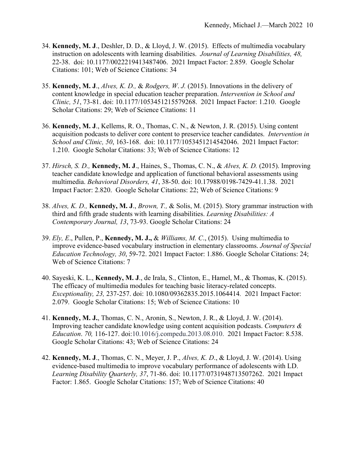- 34. **Kennedy, M. J**., Deshler, D. D., & Lloyd, J. W. (2015). Effects of multimedia vocabulary instruction on adolescents with learning disabilities. *Journal of Learning Disabilities, 48,*  22-38. doi: 10.1177/0022219413487406. 2021 Impact Factor: 2.859. Google Scholar Citations: 101; Web of Science Citations: 34
- 35. **Kennedy, M. J**., *Alves, K. D.,* & *Rodgers, W*. *J.* (2015). Innovations in the delivery of content knowledge in special education teacher preparation. *Intervention in School and Clinic, 51*, 73-81. doi: 10.1177/1053451215579268. 2021 Impact Factor: 1.210. Google Scholar Citations: 29; Web of Science Citations: 11
- 36. **Kennedy, M. J**., Kellems, R. O., Thomas, C. N., & Newton, J. R. (2015). Using content acquisition podcasts to deliver core content to preservice teacher candidates. *Intervention in School and Clinic, 50*, 163-168. doi: 10.1177/1053451214542046. 2021 Impact Factor: 1.210. Google Scholar Citations: 33; Web of Science Citations: 12
- 37. *Hirsch, S. D.,* **Kennedy, M. J**., Haines, S., Thomas, C. N., & *Alves, K. D.* (2015). Improving teacher candidate knowledge and application of functional behavioral assessments using multimedia. *Behavioral Disorders, 41*, 38-50. doi: 10.17988/0198-7429-41.1.38. 2021 Impact Factor: 2.820. Google Scholar Citations: 22; Web of Science Citations: 9
- 38. *Alves, K. D.,* **Kennedy, M. J**., *Brown, T.,* & Solis, M. (2015). Story grammar instruction with third and fifth grade students with learning disabilities. *Learning Disabilities: A Contemporary Journal, 13*, 73-93. Google Scholar Citations: 24
- 39. *Ely, E*., Pullen, P., **Kennedy, M. J.,** & *Williams, M. C*., (2015). Using multimedia to improve evidence-based vocabulary instruction in elementary classrooms. *Journal of Special Education Technology, 30*, 59-72. 2021 Impact Factor: 1.886. Google Scholar Citations: 24; Web of Science Citations: 7
- 40. Sayeski, K. L., **Kennedy, M. J**., de Irala, S., Clinton, E., Hamel, M., & Thomas, K. (2015). The efficacy of multimedia modules for teaching basic literacy-related concepts. *Exceptionality, 23,* 237-257. doi: 10.1080/09362835.2015.1064414*.* 2021 Impact Factor: 2.079. Google Scholar Citations: 15; Web of Science Citations: 10
- 41. **Kennedy, M. J.**, Thomas, C. N., Aronin, S., Newton, J. R., & Lloyd, J. W. (2014). Improving teacher candidate knowledge using content acquisition podcasts. *Computers & Education*. *70,* 116-127. doi:10.1016/j.compedu.2013.08.010. 2021 Impact Factor: 8.538. Google Scholar Citations: 43; Web of Science Citations: 24
- 42. **Kennedy, M. J**., Thomas, C. N., Meyer, J. P., *Alves, K. D*., & Lloyd, J. W. (2014). Using evidence-based multimedia to improve vocabulary performance of adolescents with LD. *Learning Disability Quarterly, 37*, 71-86. doi: 10.1177/0731948713507262. 2021 Impact Factor: 1.865. Google Scholar Citations: 157; Web of Science Citations: 40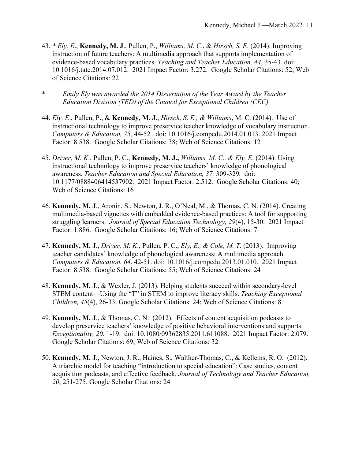- 43. *\* Ely, E*., **Kennedy, M. J**., Pullen, P., *Williams, M. C*., & *Hirsch, S. E*. (2014). Improving instruction of future teachers: A multimedia approach that supports implementation of evidence-based vocabulary practices. *Teaching and Teacher Education, 44*, 35-43. doi: 10.1016/j.tate.2014.07.012. 2021 Impact Factor: 3.272. Google Scholar Citations: 52; Web of Science Citations: 22
- \* *Emily Ely was awarded the 2014 Dissertation of the Year Award by the Teacher Education Division (TED) of the Council for Exceptional Children (CEC)*
- 44. *Ely, E*., Pullen, P., & **Kennedy, M. J**., *Hirsch, S. E., & Williams*, M. C. (2014). Use of instructional technology to improve preservice teacher knowledge of vocabulary instruction. *Computers & Education, 75,* 44-52*.* doi: 10.1016/j.compedu.2014.01.013. 2021 Impact Factor: 8.538. Google Scholar Citations: 38; Web of Science Citations: 12
- 45. *Driver, M. K*., Pullen, P. C., **Kennedy, M. J.,** *Williams, M. C., & Ely, E*. (2014). Using instructional technology to improve preservice teachers' knowledge of phonological awareness. *Teacher Education and Special Education, 37,* 309-329*.* doi: 10.1177/0888406414537902. 2021 Impact Factor: 2.512. Google Scholar Citations: 40; Web of Science Citations: 16
- 46. **Kennedy, M. J**., Aronin, S., Newton, J. R., O'Neal, M., & Thomas, C. N. (2014). Creating multimedia-based vignettes with embedded evidence-based practices: A tool for supporting struggling learners. *Journal of Special Education Technology, 29*(4), 15-30. 2021 Impact Factor: 1.886. Google Scholar Citations: 16; Web of Science Citations: 7
- 47. **Kennedy, M. J**., *Driver, M. K*., Pullen, P. C., *Ely, E., & Cole, M. T*. (2013). Improving teacher candidates' knowledge of phonological awareness: A multimedia approach. *Computers & Education. 64*, 42-51. doi: 10.1016/j.compedu.2013.01.010. 2021 Impact Factor: 8.538. Google Scholar Citations: 55; Web of Science Citations: 24
- 48. **Kennedy, M. J**., & Wexler, J. (2013). Helping students succeed within secondary-level STEM content—Using the "T" in STEM to improve literacy skills. *Teaching Exceptional Children, 45*(4), 26-33. Google Scholar Citations: 24; Web of Science Citations: 8
- 49. **Kennedy, M. J**., & Thomas, C. N. (2012). Effects of content acquisition podcasts to develop preservice teachers' knowledge of positive behavioral interventions and supports. *Exceptionality, 20*. 1-19. doi: 10.1080/09362835.2011.611088. 2021 Impact Factor: 2.079. Google Scholar Citations: 69; Web of Science Citations: 32
- 50. **Kennedy, M. J**., Newton, J. R., Haines, S., Walther-Thomas, C., & Kellems, R. O. (2012). A triarchic model for teaching "introduction to special education": Case studies, content acquisition podcasts, and effective feedback. *Journal of Technology and Teacher Education, 20*, 251-275. Google Scholar Citations: 24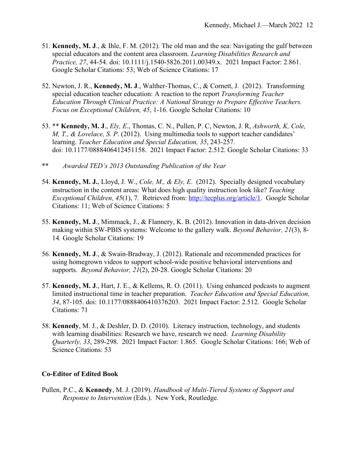- 51. **Kennedy, M. J**., & Ihle, F. M. (2012). The old man and the sea: Navigating the gulf between special educators and the content area classroom. *Learning Disabilities Research and Practice, 27*, 44-54. doi: 10.1111/j.1540-5826.2011.00349.x. 2021 Impact Factor: 2.861. Google Scholar Citations: 53; Web of Science Citations: 17
- 52. Newton, J. R., **Kennedy, M. J**., Walther-Thomas, C., & Cornett, J. (2012). Transforming special education teacher education: A reaction to the report *Transforming Teacher Education Through Clinical Practice: A National Strategy to Prepare Effective Teachers. Focus on Exceptional Children, 45*, 1-16. Google Scholar Citations: 10
- 53. \*\* **Kennedy, M. J**., *Ely, E*., Thomas, C. N., Pullen, P. C, Newton, J. R, *Ashworth, K, Cole, M, T., & Lovelace, S. P.* (2012). Using multimedia tools to support teacher candidates' learning. *Teacher Education and Special Education, 35*, 243-257*.* doi: 10.1177/0888406412451158. 2021 Impact Factor: 2.512. Google Scholar Citations: 33
- \*\* *Awarded TED's 2013 Outstanding Publication of the Year*
- 54. **Kennedy, M. J.**, Lloyd, J. W., *Cole, M., & Ely, E*. (2012). Specially designed vocabulary instruction in the content areas: What does high quality instruction look like? *Teaching Exceptional Children, 45*(1), 7. Retrieved from: http://tecplus.org/article/1. Google Scholar Citations: 11; Web of Science Citations: 5
- 55. **Kennedy, M. J**., Mimmack, J., & Flannery, K. B. (2012). Innovation in data-driven decision making within SW-PBIS systems: Welcome to the gallery walk. *Beyond Behavior, 21*(3), 8- 14*.* Google Scholar Citations: 19
- 56. **Kennedy, M. J**., & Swain-Bradway, J. (2012). Rationale and recommended practices for using homegrown videos to support school-wide positive behavioral interventions and supports. *Beyond Behavior, 21*(2), 20-28. Google Scholar Citations: 20
- 57. **Kennedy, M. J**., Hart, J. E., & Kellems, R. O. (2011). Using enhanced podcasts to augment limited instructional time in teacher preparation. *Teacher Education and Special Education, 34*, 87-105. doi: 10.1177/0888406410376203. 2021 Impact Factor: 2.512. Google Scholar Citations: 71
- 58. **Kennedy**, M. J., & Deshler, D. D. (2010). Literacy instruction, technology, and students with learning disabilities: Research we have, research we need. *Learning Disability Quarterly, 33*, 289-298. 2021 Impact Factor: 1.865. Google Scholar Citations: 166; Web of Science Citations: 53

### **Co-Editor of Edited Book**

Pullen, P.C., & **Kennedy**, M. J. (2019). *Handbook of Multi-Tiered Systems of Support and Response to Intervention* (Eds.). New York, Routledge*.*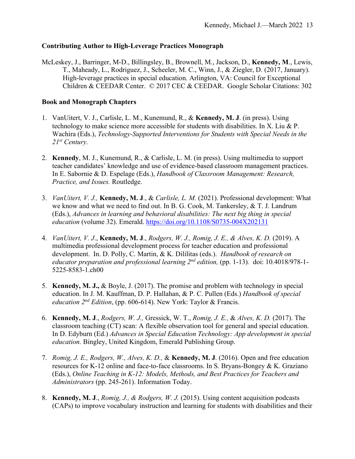#### **Contributing Author to High-Leverage Practices Monograph**

McLeskey, J., Barringer, M-D., Billingsley, B., Brownell, M., Jackson, D., **Kennedy, M**., Lewis, T., Maheady, L., Rodriguez, J., Scheeler, M. C., Winn, J., & Ziegler, D. (2017, January). High-leverage practices in special education. Arlington, VA: Council for Exceptional Children & CEEDAR Center. © 2017 CEC & CEEDAR. Google Scholar Citations: 302

#### **Book and Monograph Chapters**

- 1. VanUitert, V. J., Carlisle, L. M., Kunemund, R., & **Kennedy, M. J**. (in press). Using technology to make science more accessible for students with disabilities. In X. Liu & P. Wachira (Eds.), *Technology-Supported Interventions for Students with Special Needs in the 21st Century.*
- 2. **Kennedy**, M. J., Kunemund, R., & Carlisle, L. M. (in press). Using multimedia to support teacher candidates' knowledge and use of evidence-based classroom management practices. In E. Sabornie & D. Espelage (Eds.), *Handbook of Classroom Management: Research, Practice, and Issues.* Routledge.
- 3. *VanUitert, V. J.,* **Kennedy, M. J**., & *Carlisle, L. M.* (2021). Professional development: What we know and what we need to find out. In B. G. Cook, M. Tankersley, & T. J. Landrum (Eds.), *Advances in learning and behavioral disabilities: The next big thing in special education* (volume 32). Emerald. https://doi.org/10.1108/S0735-004X202131
- 4. *VanUitert, V. J*., **Kennedy, M. J**., *Rodgers, W. J., Romig, J. E., & Alves, K. D.* (2019). A multimedia professional development process for teacher education and professional development. In. D. Polly, C. Martin, & K. Dililitas (eds.). *Handbook of research on educator preparation and professional learning 2nd edition,* (pp. 1-13)*.* doi: 10.4018/978-1- 5225-8583-1.ch00
- 5. **Kennedy, M. J.,** & Boyle, J. (2017). The promise and problem with technology in special education. In J. M. Kauffman, D. P. Hallahan, & P. C. Pullen (Eds.) *Handbook of special education 2nd Edition*, (pp. 606-614). New York: Taylor & Francis.
- 6. **Kennedy, M. J**., *Rodgers, W. J.,* Gressick, W. T., *Romig, J. E.,* & *Alves, K. D.* (2017). The classroom teaching (CT) scan: A flexible observation tool for general and special education. In D. Edyburn (Ed.) *Advances in Special Education Technology: App development in special education.* Bingley, United Kingdom, Emerald Publishing Group.
- 7. *Romig, J. E., Rodgers, W., Alves, K. D.,* & **Kennedy, M. J**. (2016). Open and free education resources for K-12 online and face-to-face classrooms. In S. Bryans-Bongey & K. Graziano (Eds.), *Online Teaching in K-12: Models, Methods, and Best Practices for Teachers and Administrators* (pp. 245-261). Information Today.
- 8. **Kennedy, M. J**., *Romig, J., & Rodgers, W. J.* (2015). Using content acquisition podcasts (CAPs) to improve vocabulary instruction and learning for students with disabilities and their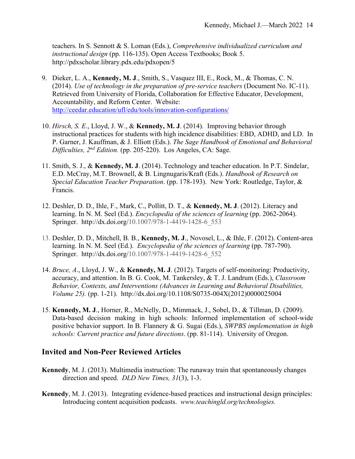teachers. In S. Sennott & S. Loman (Eds.), *Comprehensive individualized curriculum and instructional design* (pp. 116-135). Open Access Textbooks; Book 5. http://pdxscholar.library.pdx.edu/pdxopen/5

- 9. Dieker, L. A., **Kennedy, M. J**., Smith, S., Vasquez III, E., Rock, M., & Thomas, C. N. (2014). *Use of technology in the preparation of pre-service teachers* (Document No. IC-11). Retrieved from University of Florida, Collaboration for Effective Educator, Development, Accountability, and Reform Center. Website: http://ceedar.education/ufl/edu/tools/innovation-configurations/
- 10. *Hirsch, S. E*., Lloyd, J. W., & **Kennedy, M. J**. (2014). Improving behavior through instructional practices for students with high incidence disabilities: EBD, ADHD, and LD. In P. Garner, J. Kauffman, & J. Elliott (Eds.). *The Sage Handbook of Emotional and Behavioral Difficulties, 2nd Edition.* (pp. 205-220). Los Angeles, CA: Sage.
- 11. Smith, S. J., & **Kennedy, M. J**. (2014). Technology and teacher education. In P.T. Sindelar, E.D. McCray, M.T. Brownell, & B. Lingnugaris/Kraft (Eds.). *Handbook of Research on Special Education Teacher Preparation*. (pp. 178-193). New York: Routledge, Taylor, & Francis.
- 12. Deshler, D. D., Ihle, F., Mark, C., Pollitt, D. T., & **Kennedy, M. J**. (2012). Literacy and learning. In N. M. Seel (Ed.). *Encyclopedia of the sciences of learning* (pp. 2062-2064). Springer. http://dx.doi.org/10.1007/978-1-4419-1428-6\_553
- 13. Deshler, D. D., Mitchell, B. B., **Kennedy, M. J**., Novosel, L., & Ihle, F. (2012). Content-area learning. In N. M. Seel (Ed.). *Encyclopedia of the sciences of learning* (pp. 787-790). Springer. http://dx.doi.org/10.1007/978-1-4419-1428-6\_552
- 14. *Bruce, A*., Lloyd, J. W., & **Kennedy, M. J**. (2012). Targets of self-monitoring: Productivity, accuracy, and attention. In B. G. Cook, M. Tankersley, & T. J. Landrum (Eds.), *Classroom Behavior, Contexts, and Interventions (Advances in Learning and Behavioral Disabilities, Volume 25).* (pp. 1-21). http://dx.doi.org/10.1108/S0735-004X(2012)0000025004
- 15. **Kennedy, M. J**., Horner, R., McNelly, D., Mimmack, J., Sobel, D., & Tillman, D. (2009). Data-based decision making in high schools: Informed implementation of school-wide positive behavior support. In B. Flannery & G. Sugai (Eds.), *SWPBS implementation in high schools: Current practice and future directions*. (pp. 81-114). University of Oregon.

### **Invited and Non-Peer Reviewed Articles**

- **Kennedy**, M. J. (2013). Multimedia instruction: The runaway train that spontaneously changes direction and speed. *DLD New Times, 31*(3), 1-3.
- **Kennedy**, M. J. (2013). Integrating evidence-based practices and instructional design principles: Introducing content acquisition podcasts. *www.teachingld.org/technologies.*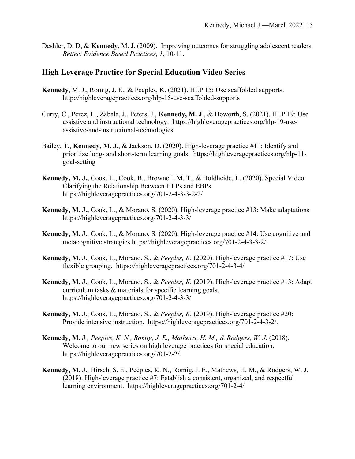Deshler, D. D, & **Kennedy**, M. J. (2009). Improving outcomes for struggling adolescent readers. *Better: Evidence Based Practices, 1*, 10-11.

#### **High Leverage Practice for Special Education Video Series**

- **Kennedy**, M. J., Romig, J. E., & Peeples, K. (2021). HLP 15: Use scaffolded supports. http://highleveragepractices.org/hlp-15-use-scaffolded-supports
- Curry, C., Perez, L., Zabala, J., Peters, J., **Kennedy, M. J**., & Howorth, S. (2021). HLP 19: Use assistive and instructional technology. https://highleveragepractices.org/hlp-19-useassistive-and-instructional-technologies
- Bailey, T., **Kennedy, M. J**., & Jackson, D. (2020). High-leverage practice #11: Identify and prioritize long- and short-term learning goals. https://highleveragepractices.org/hlp-11 goal-setting
- **Kennedy, M. J.,** Cook, L., Cook, B., Brownell, M. T., & Holdheide, L. (2020). Special Video: Clarifying the Relationship Between HLPs and EBPs. https://highleveragepractices.org/701-2-4-3-3-2-2/
- **Kennedy, M. J.,** Cook, L., & Morano, S. (2020). High-leverage practice #13: Make adaptations https://highleveragepractices.org/701-2-4-3-3/
- **Kennedy, M. J**., Cook, L., & Morano, S. (2020). High-leverage practice #14: Use cognitive and metacognitive strategies https://highleveragepractices.org/701-2-4-3-3-2/.
- **Kennedy, M. J**., Cook, L., Morano, S., & *Peeples, K.* (2020). High-leverage practice #17: Use flexible grouping. https://highleveragepractices.org/701-2-4-3-4/
- **Kennedy, M. J**., Cook, L., Morano, S., & *Peeples, K.* (2019). High-leverage practice #13: Adapt curriculum tasks & materials for specific learning goals. https://highleveragepractices.org/701-2-4-3-3/
- **Kennedy, M. J**., Cook, L., Morano, S., & *Peeples, K.* (2019). High-leverage practice #20: Provide intensive instruction. https://highleveragepractices.org/701-2-4-3-2/.
- **Kennedy, M. J***., Peeples, K. N., Romig, J. E., Mathews, H. M., & Rodgers, W. J*. (2018). Welcome to our new series on high leverage practices for special education. https://highleveragepractices.org/701-2-2/.
- **Kennedy, M. J**., Hirsch, S. E., Peeples, K. N., Romig, J. E., Mathews, H. M., & Rodgers, W. J. (2018). High-leverage practice #7: Establish a consistent, organized, and respectful learning environment. https://highleveragepractices.org/701-2-4/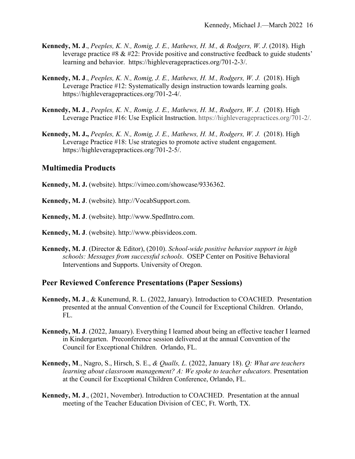- **Kennedy, M. J**., *Peeples, K. N., Romig, J. E., Mathews, H. M., & Rodgers, W. J*. (2018). High leverage practice #8 & #22: Provide positive and constructive feedback to guide students' learning and behavior. https://highleveragepractices.org/701-2-3/.
- **Kennedy, M. J**., *Peeples, K. N., Romig, J. E., Mathews, H. M., Rodgers, W. J.* (2018). High Leverage Practice #12: Systematically design instruction towards learning goals. https://highleveragepractices.org/701-2-4/.
- **Kennedy, M. J**., *Peeples, K. N., Romig, J. E., Mathews, H. M., Rodgers, W. J.* (2018). High Leverage Practice #16: Use Explicit Instruction. https://highleveragepractices.org/701-2/.
- **Kennedy, M. J.,** *Peeples, K. N., Romig, J. E., Mathews, H. M., Rodgers, W. J.* (2018). High Leverage Practice #18: Use strategies to promote active student engagement. https://highleveragepractices.org/701-2-5/.

### **Multimedia Products**

- **Kennedy, M. J.** (website). https://vimeo.com/showcase/9336362.
- **Kennedy, M. J**. (website). http://VocabSupport.com.
- **Kennedy, M. J**. (website). http://www.SpedIntro.com.
- **Kennedy, M. J**. (website). http://www.pbisvideos.com.
- **Kennedy, M. J**. (Director & Editor), (2010). *School-wide positive behavior support in high schools: Messages from successful schools*. OSEP Center on Positive Behavioral Interventions and Supports. University of Oregon.

#### **Peer Reviewed Conference Presentations (Paper Sessions)**

- **Kennedy, M. J**., & Kunemund, R. L. (2022, January). Introduction to COACHED. Presentation presented at the annual Convention of the Council for Exceptional Children. Orlando, FL.
- **Kennedy, M. J**. (2022, January). Everything I learned about being an effective teacher I learned in Kindergarten. Preconference session delivered at the annual Convention of the Council for Exceptional Children. Orlando, FL.
- **Kennedy, M**., Nagro, S., Hirsch, S. E., *& Qualls, L.* (2022, January 18). *Q: What are teachers learning about classroom management? A: We spoke to teacher educators.* Presentation at the Council for Exceptional Children Conference, Orlando, FL.
- **Kennedy, M. J**., (2021, November). Introduction to COACHED. Presentation at the annual meeting of the Teacher Education Division of CEC, Ft. Worth, TX.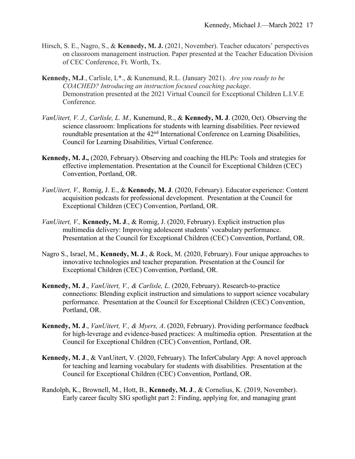- Hirsch, S. E., Nagro, S., & **Kennedy, M. J.** (2021, November). Teacher educators' perspectives on classroom management instruction. Paper presented at the Teacher Education Division of CEC Conference, Ft. Worth, Tx.
- **Kennedy, M.J**., Carlisle, L\*., & Kunemund, R.L. (January 2021). *Are you ready to be COACHED? Introducing an instruction focused coaching package*. Demonstration presented at the 2021 Virtual Council for Exceptional Children L.I.V.E Conference.
- *VanUitert, V. J., Carlisle, L. M.,* Kunemund, R., & **Kennedy, M. J**. (2020, Oct). Observing the science classroom: Implications for students with learning disabilities. Peer reviewed roundtable presentation at the  $42<sup>nd</sup>$  International Conference on Learning Disabilities, Council for Learning Disabilities, Virtual Conference.
- **Kennedy, M. J.,** (2020, February). Observing and coaching the HLPs: Tools and strategies for effective implementation. Presentation at the Council for Exceptional Children (CEC) Convention, Portland, OR.
- *VanUitert, V.,* Romig, J. E., & **Kennedy, M. J**. (2020, February). Educator experience: Content acquisition podcasts for professional development. Presentation at the Council for Exceptional Children (CEC) Convention, Portland, OR.
- *VanUitert, V.,* **Kennedy, M. J**., & Romig, J. (2020, February). Explicit instruction plus multimedia delivery: Improving adolescent students' vocabulary performance. Presentation at the Council for Exceptional Children (CEC) Convention, Portland, OR.
- Nagro S., Israel, M., **Kennedy, M. J**., & Rock, M. (2020, February). Four unique approaches to innovative technologies and teacher preparation. Presentation at the Council for Exceptional Children (CEC) Convention, Portland, OR.
- **Kennedy, M. J**., *VanUitert, V., & Carlisle, L*. (2020, February). Research-to-practice connections: Blending explicit instruction and simulations to support science vocabulary performance. Presentation at the Council for Exceptional Children (CEC) Convention, Portland, OR.
- **Kennedy, M. J**., *VanUitert, V., & Myers, A*. (2020, February). Providing performance feedback for high-leverage and evidence-based practices: A multimedia option. Presentation at the Council for Exceptional Children (CEC) Convention, Portland, OR.
- **Kennedy, M. J**., & VanUitert, V. (2020, February). The InferCabulary App: A novel approach for teaching and learning vocabulary for students with disabilities. Presentation at the Council for Exceptional Children (CEC) Convention, Portland, OR.
- Randolph, K., Brownell, M., Hott, B., **Kennedy, M. J**., & Cornelius, K. (2019, November). Early career faculty SIG spotlight part 2: Finding, applying for, and managing grant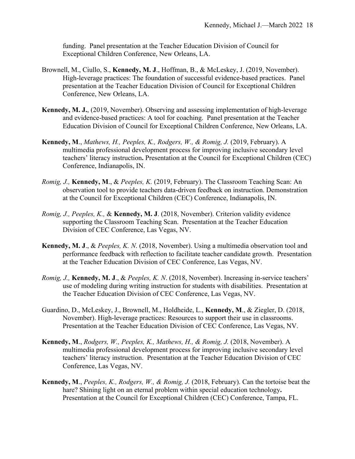funding. Panel presentation at the Teacher Education Division of Council for Exceptional Children Conference, New Orleans, LA.

- Brownell, M., Ciullo, S., **Kennedy, M. J**., Hoffman, B., & McLeskey, J. (2019, November). High-leverage practices: The foundation of successful evidence-based practices. Panel presentation at the Teacher Education Division of Council for Exceptional Children Conference, New Orleans, LA.
- **Kennedy, M. J.**, (2019, November). Observing and assessing implementation of high-leverage and evidence-based practices: A tool for coaching. Panel presentation at the Teacher Education Division of Council for Exceptional Children Conference, New Orleans, LA.
- **Kennedy, M**., *Mathews, H., Peeples, K., Rodgers, W., & Romig, J.* (2019, February). A multimedia professional development process for improving inclusive secondary level teachers' literacy instruction**.** Presentation at the Council for Exceptional Children (CEC) Conference, Indianapolis, IN.
- *Romig, J.,* **Kennedy, M**., & *Peeples, K.* (2019, February). The Classroom Teaching Scan: An observation tool to provide teachers data-driven feedback on instruction. Demonstration at the Council for Exceptional Children (CEC) Conference, Indianapolis, IN.
- *Romig, J., Peeples, K.,* & **Kennedy, M. J**. (2018, November). Criterion validity evidence supporting the Classroom Teaching Scan. Presentation at the Teacher Education Division of CEC Conference, Las Vegas, NV.
- **Kennedy, M. J**., & *Peeples, K. N*. (2018, November). Using a multimedia observation tool and performance feedback with reflection to facilitate teacher candidate growth. Presentation at the Teacher Education Division of CEC Conference, Las Vegas, NV.
- *Romig, J.,* **Kennedy, M. J**., & *Peeples, K. N*. (2018, November). Increasing in-service teachers' use of modeling during writing instruction for students with disabilities. Presentation at the Teacher Education Division of CEC Conference, Las Vegas, NV.
- Guardino, D., McLeskey, J., Brownell, M., Holdheide, L., **Kennedy, M**., & Ziegler, D. (2018, November). High-leverage practices: Resources to support their use in classrooms. Presentation at the Teacher Education Division of CEC Conference, Las Vegas, NV.
- **Kennedy, M**., *Rodgers, W., Peeples, K., Mathews, H., & Romig, J.* (2018, November). A multimedia professional development process for improving inclusive secondary level teachers' literacy instruction. Presentation at the Teacher Education Division of CEC Conference, Las Vegas, NV.
- **Kennedy, M**., *Peeples, K., Rodgers, W., & Romig, J.* (2018, February). Can the tortoise beat the hare? Shining light on an eternal problem within special education technology**.**  Presentation at the Council for Exceptional Children (CEC) Conference, Tampa, FL.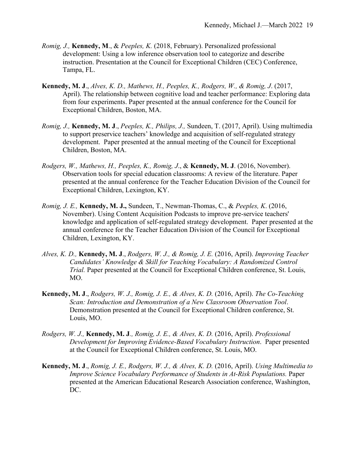- *Romig, J.,* **Kennedy, M**., & *Peeples, K.* (2018, February). Personalized professional development: Using a low inference observation tool to categorize and describe instruction. Presentation at the Council for Exceptional Children (CEC) Conference, Tampa, FL.
- **Kennedy, M. J**., *Alves, K. D., Mathews, H., Peeples, K., Rodgers, W., & Romig, J*. (2017, April). The relationship between cognitive load and teacher performance: Exploring data from four experiments. Paper presented at the annual conference for the Council for Exceptional Children, Boston, MA.
- *Romig, J.,* **Kennedy, M. J**., *Peeples, K., Philips, J.,* Sundeen, T. (2017, April). Using multimedia to support preservice teachers' knowledge and acquisition of self-regulated strategy development. Paper presented at the annual meeting of the Council for Exceptional Children, Boston, MA.
- *Rodgers, W., Mathews, H., Peeples, K., Romig, J*., & **Kennedy, M. J**. (2016, November). Observation tools for special education classrooms: A review of the literature. Paper presented at the annual conference for the Teacher Education Division of the Council for Exceptional Children, Lexington, KY.
- *Romig, J. E.,* **Kennedy, M. J.,** Sundeen, T., Newman-Thomas, C., & *Peeples, K*. (2016, November). Using Content Acquisition Podcasts to improve pre-service teachers' knowledge and application of self-regulated strategy development. Paper presented at the annual conference for the Teacher Education Division of the Council for Exceptional Children, Lexington, KY.
- *Alves, K. D.,* **Kennedy, M. J**., *Rodgers, W. J., & Romig, J. E.* (2016, April). *Improving Teacher Candidates' Knowledge & Skill for Teaching Vocabulary: A Randomized Control Trial.* Paper presented at the Council for Exceptional Children conference, St. Louis, MO.
- **Kennedy, M. J**., *Rodgers, W. J., Romig, J. E., & Alves, K. D.* (2016, April). *The Co-Teaching Scan: Introduction and Demonstration of a New Classroom Observation Tool*. Demonstration presented at the Council for Exceptional Children conference, St. Louis, MO.
- *Rodgers, W. J.,* **Kennedy, M. J***., Romig, J. E., & Alves, K. D.* (2016, April). *Professional Development for Improving Evidence-Based Vocabulary Instruction*. Paper presented at the Council for Exceptional Children conference, St. Louis, MO.
- **Kennedy, M. J**., *Romig, J. E., Rodgers, W. J., & Alves, K. D.* (2016, April). *Using Multimedia to Improve Science Vocabulary Performance of Students in At-Risk Populations.* Paper presented at the American Educational Research Association conference, Washington, DC.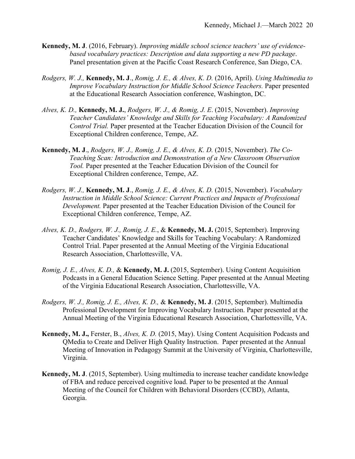- **Kennedy, M. J**. (2016, February). *Improving middle school science teachers' use of evidencebased vocabulary practices: Description and data supporting a new PD package*. Panel presentation given at the Pacific Coast Research Conference, San Diego, CA.
- *Rodgers, W. J.,* **Kennedy, M. J**., *Romig, J. E., & Alves, K. D.* (2016, April). *Using Multimedia to Improve Vocabulary Instruction for Middle School Science Teachers.* Paper presented at the Educational Research Association conference, Washington, DC.
- *Alves, K. D.,* **Kennedy, M. J.**, *Rodgers, W. J., & Romig, J. E*. (2015, November). *Improving Teacher Candidates' Knowledge and Skills for Teaching Vocabulary: A Randomized Control Trial.* Paper presented at the Teacher Education Division of the Council for Exceptional Children conference, Tempe, AZ.
- **Kennedy, M. J**., *Rodgers, W. J., Romig, J. E., & Alves, K. D.* (2015, November). *The Co-Teaching Scan: Introduction and Demonstration of a New Classroom Observation Tool.* Paper presented at the Teacher Education Division of the Council for Exceptional Children conference, Tempe, AZ.
- *Rodgers, W. J.,* **Kennedy, M. J**., *Romig, J. E., & Alves, K. D.* (2015, November). *Vocabulary Instruction in Middle School Science: Current Practices and Impacts of Professional Development.* Paper presented at the Teacher Education Division of the Council for Exceptional Children conference, Tempe, AZ.
- *Alves, K. D., Rodgers, W. J., Romig, J. E.*, & **Kennedy, M. J.** (2015, September). Improving Teacher Candidates' Knowledge and Skills for Teaching Vocabulary: A Randomized Control Trial. Paper presented at the Annual Meeting of the Virginia Educational Research Association, Charlottesville, VA.
- *Romig, J. E., Alves, K. D.,* & **Kennedy, M. J.** (2015, September). Using Content Acquisition Podcasts in a General Education Science Setting. Paper presented at the Annual Meeting of the Virginia Educational Research Association, Charlottesville, VA.
- *Rodgers, W. J., Romig, J. E., Alves, K. D.,* & **Kennedy, M. J**. (2015, September). Multimedia Professional Development for Improving Vocabulary Instruction. Paper presented at the Annual Meeting of the Virginia Educational Research Association, Charlottesville, VA.
- **Kennedy, M. J.,** Ferster, B., *Alves, K. D.* (2015, May). Using Content Acquisition Podcasts and QMedia to Create and Deliver High Quality Instruction. Paper presented at the Annual Meeting of Innovation in Pedagogy Summit at the University of Virginia, Charlottesville, Virginia.
- **Kennedy, M. J**. (2015, September). Using multimedia to increase teacher candidate knowledge of FBA and reduce perceived cognitive load. Paper to be presented at the Annual Meeting of the Council for Children with Behavioral Disorders (CCBD), Atlanta, Georgia.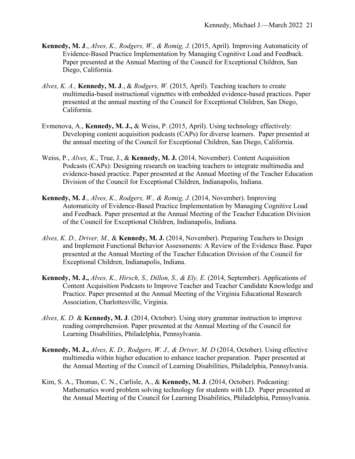- **Kennedy, M. J**., *Alves, K., Rodgers, W., & Romig, J.* (2015, April). Improving Automaticity of Evidence-Based Practice Implementation by Managing Cognitive Load and Feedback. Paper presented at the Annual Meeting of the Council for Exceptional Children, San Diego, California.
- *Alves, K. A.,* **Kennedy, M. J**., & *Rodgers, W.* (2015, April). Teaching teachers to create multimedia-based instructional vignettes with embedded evidence-based practices. Paper presented at the annual meeting of the Council for Exceptional Children, San Diego, California.
- Evmenova, A., **Kennedy, M. J.,** & Weiss, P. (2015, April). Using technology effectively: Developing content acquisition podcasts (CAPs) for diverse learners. Paper presented at the annual meeting of the Council for Exceptional Children, San Diego, California.
- Weiss, P., *Alves, K*., True, J., & **Kennedy, M. J.** (2014, November). Content Acquisition Podcasts (CAPs): Designing research on teaching teachers to integrate multimedia and evidence-based practice. Paper presented at the Annual Meeting of the Teacher Education Division of the Council for Exceptional Children, Indianapolis, Indiana.
- **Kennedy, M. J**., *Alves, K., Rodgers, W., & Romig, J.* (2014, November). Improving Automaticity of Evidence-Based Practice Implementation by Managing Cognitive Load and Feedback. Paper presented at the Annual Meeting of the Teacher Education Division of the Council for Exceptional Children, Indianapolis, Indiana.
- *Alves, K. D., Driver, M.,* & **Kennedy, M. J.** (2014, November). Preparing Teachers to Design and Implement Functional Behavior Assessments: A Review of the Evidence Base. Paper presented at the Annual Meeting of the Teacher Education Division of the Council for Exceptional Children, Indianapolis, Indiana.
- **Kennedy, M. J.,** *Alves, K., Hirsch, S., Dillon, S., & Ely, E.* (2014, September). Applications of Content Acquisition Podcasts to Improve Teacher and Teacher Candidate Knowledge and Practice. Paper presented at the Annual Meeting of the Virginia Educational Research Association, Charlottesville, Virginia.
- *Alves, K. D.* & **Kennedy, M. J**. (2014, October). Using story grammar instruction to improve reading comprehension. Paper presented at the Annual Meeting of the Council for Learning Disabilities, Philadelphia, Pennsylvania.
- **Kennedy, M. J.,** *Alves, K. D., Rodgers, W. J., & Driver, M. D* (2014, October). Using effective multimedia within higher education to enhance teacher preparation. Paper presented at the Annual Meeting of the Council of Learning Disabilities, Philadelphia, Pennsylvania.
- Kim, S. A., Thomas, C. N., Carlisle, A., & **Kennedy, M. J**. (2014, October). Podcasting: Mathematics word problem solving technology for students with LD. Paper presented at the Annual Meeting of the Council for Learning Disabilities, Philadelphia, Pennsylvania.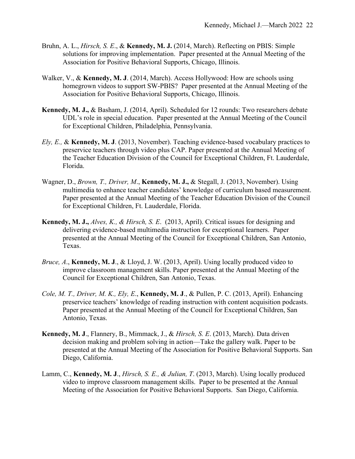- Bruhn, A. L., *Hirsch, S. E*., & **Kennedy, M. J.** (2014, March). Reflecting on PBIS: Simple solutions for improving implementation. Paper presented at the Annual Meeting of the Association for Positive Behavioral Supports, Chicago, Illinois.
- Walker, V., & **Kennedy, M. J**. (2014, March). Access Hollywood: How are schools using homegrown videos to support SW-PBIS? Paper presented at the Annual Meeting of the Association for Positive Behavioral Supports, Chicago, Illinois.
- **Kennedy, M. J.,** & Basham, J. (2014, April). Scheduled for 12 rounds: Two researchers debate UDL's role in special education. Paper presented at the Annual Meeting of the Council for Exceptional Children, Philadelphia, Pennsylvania.
- *Ely, E.,* & **Kennedy, M. J**. (2013, November). Teaching evidence-based vocabulary practices to preservice teachers through video plus CAP. Paper presented at the Annual Meeting of the Teacher Education Division of the Council for Exceptional Children, Ft. Lauderdale, Florida.
- Wagner, D., *Brown, T., Driver, M*., **Kennedy, M. J.,** & Stegall, J. (2013, November). Using multimedia to enhance teacher candidates' knowledge of curriculum based measurement. Paper presented at the Annual Meeting of the Teacher Education Division of the Council for Exceptional Children, Ft. Lauderdale, Florida.
- **Kennedy, M. J.,** *Alves, K., & Hirsch, S. E*. (2013, April). Critical issues for designing and delivering evidence-based multimedia instruction for exceptional learners. Paper presented at the Annual Meeting of the Council for Exceptional Children, San Antonio, Texas.
- *Bruce, A*., **Kennedy, M. J**., & Lloyd, J. W. (2013, April). Using locally produced video to improve classroom management skills. Paper presented at the Annual Meeting of the Council for Exceptional Children, San Antonio, Texas.
- *Cole, M. T., Driver, M. K., Ely, E*., **Kennedy, M. J**., & Pullen, P. C. (2013, April). Enhancing preservice teachers' knowledge of reading instruction with content acquisition podcasts. Paper presented at the Annual Meeting of the Council for Exceptional Children, San Antonio, Texas.
- **Kennedy, M. J**., Flannery, B., Mimmack, J., & *Hirsch, S. E*. (2013, March). Data driven decision making and problem solving in action—Take the gallery walk. Paper to be presented at the Annual Meeting of the Association for Positive Behavioral Supports. San Diego, California.
- Lamm, C., **Kennedy, M. J**., *Hirsch, S. E., & Julian, T*. (2013, March). Using locally produced video to improve classroom management skills. Paper to be presented at the Annual Meeting of the Association for Positive Behavioral Supports. San Diego, California.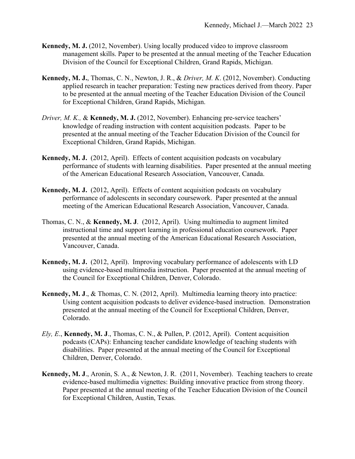- **Kennedy, M. J.** (2012, November). Using locally produced video to improve classroom management skills. Paper to be presented at the annual meeting of the Teacher Education Division of the Council for Exceptional Children, Grand Rapids, Michigan.
- **Kennedy, M. J.**, Thomas, C. N., Newton, J. R., & *Driver, M. K*. (2012, November). Conducting applied research in teacher preparation: Testing new practices derived from theory. Paper to be presented at the annual meeting of the Teacher Education Division of the Council for Exceptional Children, Grand Rapids, Michigan.
- *Driver, M. K.,* & **Kennedy, M. J.** (2012, November). Enhancing pre-service teachers' knowledge of reading instruction with content acquisition podcasts. Paper to be presented at the annual meeting of the Teacher Education Division of the Council for Exceptional Children, Grand Rapids, Michigan.
- **Kennedy, M. J.** (2012, April). Effects of content acquisition podcasts on vocabulary performance of students with learning disabilities. Paper presented at the annual meeting of the American Educational Research Association, Vancouver, Canada.
- **Kennedy, M. J.** (2012, April). Effects of content acquisition podcasts on vocabulary performance of adolescents in secondary coursework. Paper presented at the annual meeting of the American Educational Research Association, Vancouver, Canada.
- Thomas, C. N., & **Kennedy, M. J**. (2012, April). Using multimedia to augment limited instructional time and support learning in professional education coursework. Paper presented at the annual meeting of the American Educational Research Association, Vancouver, Canada.
- **Kennedy, M. J.** (2012, April). Improving vocabulary performance of adolescents with LD using evidence-based multimedia instruction. Paper presented at the annual meeting of the Council for Exceptional Children, Denver, Colorado.
- **Kennedy, M. J**., & Thomas, C. N. (2012, April). Multimedia learning theory into practice: Using content acquisition podcasts to deliver evidence-based instruction. Demonstration presented at the annual meeting of the Council for Exceptional Children, Denver, Colorado.
- *Ely, E*., **Kennedy, M. J**., Thomas, C. N., & Pullen, P. (2012, April). Content acquisition podcasts (CAPs): Enhancing teacher candidate knowledge of teaching students with disabilities. Paper presented at the annual meeting of the Council for Exceptional Children, Denver, Colorado.
- **Kennedy, M. J**., Aronin, S. A., & Newton, J. R. (2011, November). Teaching teachers to create evidence-based multimedia vignettes: Building innovative practice from strong theory. Paper presented at the annual meeting of the Teacher Education Division of the Council for Exceptional Children, Austin, Texas.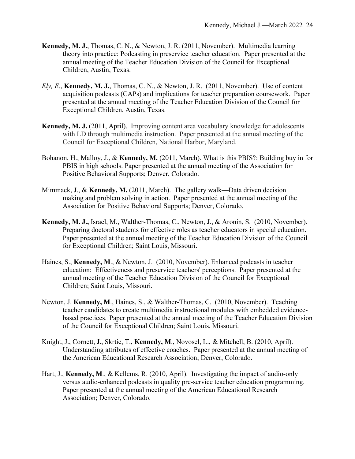- **Kennedy, M. J.**, Thomas, C. N., & Newton, J. R. (2011, November). Multimedia learning theory into practice: Podcasting in preservice teacher education. Paper presented at the annual meeting of the Teacher Education Division of the Council for Exceptional Children, Austin, Texas.
- *Ely, E*., **Kennedy, M. J.**, Thomas, C. N., & Newton, J. R. (2011, November). Use of content acquisition podcasts (CAPs) and implications for teacher preparation coursework. Paper presented at the annual meeting of the Teacher Education Division of the Council for Exceptional Children, Austin, Texas.
- **Kennedy, M. J.** (2011, April). Improving content area vocabulary knowledge for adolescents with LD through multimedia instruction. Paper presented at the annual meeting of the Council for Exceptional Children, National Harbor, Maryland.
- Bohanon, H., Malloy, J., & **Kennedy, M.** (2011, March). What is this PBIS?: Building buy in for PBIS in high schools. Paper presented at the annual meeting of the Association for Positive Behavioral Supports; Denver, Colorado.
- Mimmack, J., & **Kennedy, M.** (2011, March). The gallery walk—Data driven decision making and problem solving in action. Paper presented at the annual meeting of the Association for Positive Behavioral Supports; Denver, Colorado.
- **Kennedy, M. J.,** Israel, M., Walther-Thomas, C., Newton, J., & Aronin, S. (2010, November). Preparing doctoral students for effective roles as teacher educators in special education. Paper presented at the annual meeting of the Teacher Education Division of the Council for Exceptional Children; Saint Louis, Missouri.
- Haines, S., **Kennedy, M**., & Newton, J. (2010, November). Enhanced podcasts in teacher education: Effectiveness and preservice teachers' perceptions. Paper presented at the annual meeting of the Teacher Education Division of the Council for Exceptional Children; Saint Louis, Missouri.
- Newton, J. **Kennedy, M**., Haines, S., & Walther-Thomas, C. (2010, November). Teaching teacher candidates to create multimedia instructional modules with embedded evidencebased practices. Paper presented at the annual meeting of the Teacher Education Division of the Council for Exceptional Children; Saint Louis, Missouri.
- Knight, J., Cornett, J., Skrtic, T., **Kennedy, M**., Novosel, L., & Mitchell, B. (2010, April). Understanding attributes of effective coaches. Paper presented at the annual meeting of the American Educational Research Association; Denver, Colorado.
- Hart, J., **Kennedy, M.**, & Kellems, R. (2010, April). Investigating the impact of audio-only versus audio-enhanced podcasts in quality pre-service teacher education programming. Paper presented at the annual meeting of the American Educational Research Association; Denver, Colorado.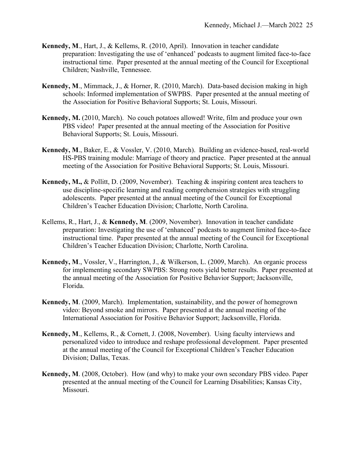- **Kennedy, M**., Hart, J., & Kellems, R. (2010, April). Innovation in teacher candidate preparation: Investigating the use of 'enhanced' podcasts to augment limited face-to-face instructional time. Paper presented at the annual meeting of the Council for Exceptional Children; Nashville, Tennessee.
- **Kennedy, M**., Mimmack, J., & Horner, R. (2010, March). Data-based decision making in high schools: Informed implementation of SWPBS. Paper presented at the annual meeting of the Association for Positive Behavioral Supports; St. Louis, Missouri.
- **Kennedy, M.** (2010, March). No couch potatoes allowed! Write, film and produce your own PBS video! Paper presented at the annual meeting of the Association for Positive Behavioral Supports; St. Louis, Missouri.
- **Kennedy, M**., Baker, E., & Vossler, V. (2010, March). Building an evidence-based, real-world HS-PBS training module: Marriage of theory and practice. Paper presented at the annual meeting of the Association for Positive Behavioral Supports; St. Louis, Missouri.
- **Kennedy, M.,** & Pollitt, D. (2009, November). Teaching & inspiring content area teachers to use discipline-specific learning and reading comprehension strategies with struggling adolescents. Paper presented at the annual meeting of the Council for Exceptional Children's Teacher Education Division; Charlotte, North Carolina.
- Kellems, R., Hart, J., & **Kennedy, M**. (2009, November). Innovation in teacher candidate preparation: Investigating the use of 'enhanced' podcasts to augment limited face-to-face instructional time. Paper presented at the annual meeting of the Council for Exceptional Children's Teacher Education Division; Charlotte, North Carolina.
- **Kennedy, M**., Vossler, V., Harrington, J., & Wilkerson, L. (2009, March). An organic process for implementing secondary SWPBS: Strong roots yield better results. Paper presented at the annual meeting of the Association for Positive Behavior Support; Jacksonville, Florida.
- **Kennedy, M**. (2009, March). Implementation, sustainability, and the power of homegrown video: Beyond smoke and mirrors. Paper presented at the annual meeting of the International Association for Positive Behavior Support; Jacksonville, Florida.
- **Kennedy, M**., Kellems, R., & Cornett, J. (2008, November). Using faculty interviews and personalized video to introduce and reshape professional development. Paper presented at the annual meeting of the Council for Exceptional Children's Teacher Education Division; Dallas, Texas.
- **Kennedy, M**. (2008, October). How (and why) to make your own secondary PBS video. Paper presented at the annual meeting of the Council for Learning Disabilities; Kansas City, Missouri.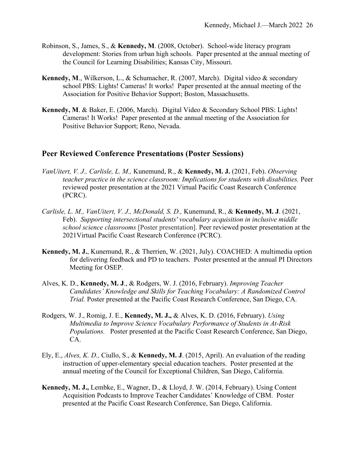- Robinson, S., James, S., & **Kennedy, M**. (2008, October). School-wide literacy program development: Stories from urban high schools. Paper presented at the annual meeting of the Council for Learning Disabilities; Kansas City, Missouri.
- **Kennedy, M**., Wilkerson, L., & Schumacher, R. (2007, March). Digital video & secondary school PBS: Lights! Cameras! It works! Paper presented at the annual meeting of the Association for Positive Behavior Support; Boston, Massachusetts.
- **Kennedy, M**. & Baker, E. (2006, March). Digital Video & Secondary School PBS: Lights! Cameras! It Works! Paper presented at the annual meeting of the Association for Positive Behavior Support; Reno, Nevada.

### **Peer Reviewed Conference Presentations (Poster Sessions)**

- *VanUitert, V. J., Carlisle, L. M.,* Kunemund, R., & **Kennedy, M. J.** (2021, Feb). *Observing teacher practice in the science classroom: Implications for students with disabilities.* Peer reviewed poster presentation at the 2021 Virtual Pacific Coast Research Conference (PCRC).
- *Carlisle, L. M., VanUitert, V. J., McDonald, S. D.,* Kunemund, R., & **Kennedy, M. J**. (2021, Feb). *Supporting intersectional students' vocabulary acquisition in inclusive middle school science classrooms* [Poster presentation]. Peer reviewed poster presentation at the 2021Virtual Pacific Coast Research Conference (PCRC).
- **Kennedy, M. J.**, Kunemund, R., & Therrien, W. (2021, July). COACHED: A multimedia option for delivering feedback and PD to teachers. Poster presented at the annual PI Directors Meeting for OSEP.
- Alves, K. D., **Kennedy, M. J**., & Rodgers, W. J. (2016, February). *Improving Teacher Candidates' Knowledge and Skills for Teaching Vocabulary: A Randomized Control Trial.* Poster presented at the Pacific Coast Research Conference, San Diego, CA.
- Rodgers, W. J., Romig, J. E., **Kennedy, M. J.,** & Alves, K. D. (2016, February). *Using Multimedia to Improve Science Vocabulary Performance of Students in At-Risk Populations.* Poster presented at the Pacific Coast Research Conference, San Diego, CA.
- Ely, E., *Alves, K. D.,* Ciullo, S., & **Kennedy, M. J**. (2015, April). An evaluation of the reading instruction of upper-elementary special education teachers. Poster presented at the annual meeting of the Council for Exceptional Children, San Diego, California.
- **Kennedy, M. J.,** Lembke, E., Wagner, D., & Lloyd, J. W. (2014, February). Using Content Acquisition Podcasts to Improve Teacher Candidates' Knowledge of CBM. Poster presented at the Pacific Coast Research Conference, San Diego, California.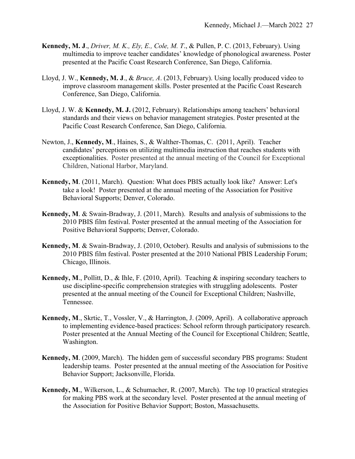- **Kennedy, M. J**., *Driver, M. K., Ely, E., Cole, M. T*., & Pullen, P. C. (2013, February). Using multimedia to improve teacher candidates' knowledge of phonological awareness. Poster presented at the Pacific Coast Research Conference, San Diego, California.
- Lloyd, J. W., **Kennedy, M. J**., & *Bruce, A*. (2013, February). Using locally produced video to improve classroom management skills. Poster presented at the Pacific Coast Research Conference, San Diego, California.
- Lloyd, J. W. & **Kennedy, M. J.** (2012, February). Relationships among teachers' behavioral standards and their views on behavior management strategies. Poster presented at the Pacific Coast Research Conference, San Diego, California.
- Newton, J., **Kennedy, M**., Haines, S., & Walther-Thomas, C. (2011, April). Teacher candidates' perceptions on utilizing multimedia instruction that reaches students with exceptionalities. Poster presented at the annual meeting of the Council for Exceptional Children, National Harbor, Maryland.
- **Kennedy, M**. (2011, March). Question: What does PBIS actually look like? Answer: Let's take a look! Poster presented at the annual meeting of the Association for Positive Behavioral Supports; Denver, Colorado.
- **Kennedy, M**. & Swain-Bradway, J. (2011, March). Results and analysis of submissions to the 2010 PBIS film festival. Poster presented at the annual meeting of the Association for Positive Behavioral Supports; Denver, Colorado.
- **Kennedy, M**. & Swain-Bradway, J. (2010, October). Results and analysis of submissions to the 2010 PBIS film festival. Poster presented at the 2010 National PBIS Leadership Forum; Chicago, Illinois.
- **Kennedy, M**., Pollitt, D., & Ihle, F. (2010, April). Teaching & inspiring secondary teachers to use discipline-specific comprehension strategies with struggling adolescents. Poster presented at the annual meeting of the Council for Exceptional Children; Nashville, Tennessee.
- **Kennedy, M**., Skrtic, T., Vossler, V., & Harrington, J. (2009, April). A collaborative approach to implementing evidence-based practices: School reform through participatory research. Poster presented at the Annual Meeting of the Council for Exceptional Children; Seattle, Washington.
- **Kennedy, M**. (2009, March). The hidden gem of successful secondary PBS programs: Student leadership teams. Poster presented at the annual meeting of the Association for Positive Behavior Support; Jacksonville, Florida.
- **Kennedy, M**., Wilkerson, L., & Schumacher, R. (2007, March). The top 10 practical strategies for making PBS work at the secondary level. Poster presented at the annual meeting of the Association for Positive Behavior Support; Boston, Massachusetts.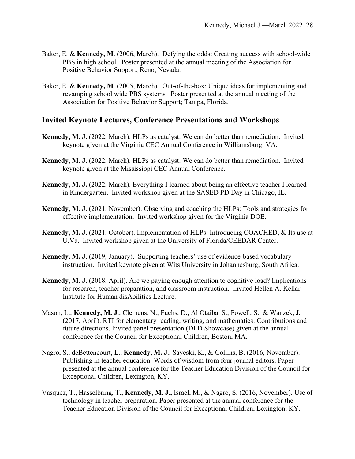- Baker, E. & **Kennedy, M**. (2006, March). Defying the odds: Creating success with school-wide PBS in high school. Poster presented at the annual meeting of the Association for Positive Behavior Support; Reno, Nevada.
- Baker, E. & **Kennedy, M**. (2005, March). Out-of-the-box: Unique ideas for implementing and revamping school wide PBS systems*.* Poster presented at the annual meeting of the Association for Positive Behavior Support; Tampa, Florida.

### **Invited Keynote Lectures, Conference Presentations and Workshops**

- **Kennedy, M. J.** (2022, March). HLPs as catalyst: We can do better than remediation. Invited keynote given at the Virginia CEC Annual Conference in Williamsburg, VA.
- **Kennedy, M. J.** (2022, March). HLPs as catalyst: We can do better than remediation. Invited keynote given at the Mississippi CEC Annual Conference.
- **Kennedy, M. J.** (2022, March). Everything I learned about being an effective teacher I learned in Kindergarten. Invited workshop given at the SASED PD Day in Chicago, IL.
- **Kennedy, M. J**. (2021, November). Observing and coaching the HLPs: Tools and strategies for effective implementation. Invited workshop given for the Virginia DOE.
- **Kennedy, M. J**. (2021, October). Implementation of HLPs: Introducing COACHED, & Its use at U.Va. Invited workshop given at the University of Florida/CEEDAR Center.
- **Kennedy, M. J**. (2019, January). Supporting teachers' use of evidence-based vocabulary instruction. Invited keynote given at Wits University in Johannesburg, South Africa.
- **Kennedy, M. J**. (2018, April). Are we paying enough attention to cognitive load? Implications for research, teacher preparation, and classroom instruction. Invited Hellen A. Kellar Institute for Human disAbilities Lecture.
- Mason, L., **Kennedy, M. J**., Clemens, N., Fuchs, D., Al Otaiba, S., Powell, S., & Wanzek, J. (2017, April). RTI for elementary reading, writing, and mathematics: Contributions and future directions. Invited panel presentation (DLD Showcase) given at the annual conference for the Council for Exceptional Children, Boston, MA.
- Nagro, S., deBettencourt, L., **Kennedy, M. J**., Sayeski, K., & Collins, B. (2016, November). Publishing in teacher education: Words of wisdom from four journal editors. Paper presented at the annual conference for the Teacher Education Division of the Council for Exceptional Children, Lexington, KY.
- Vasquez, T., Hasselbring, T., **Kennedy, M. J.,** Israel, M., & Nagro, S. (2016, November). Use of technology in teacher preparation. Paper presented at the annual conference for the Teacher Education Division of the Council for Exceptional Children, Lexington, KY.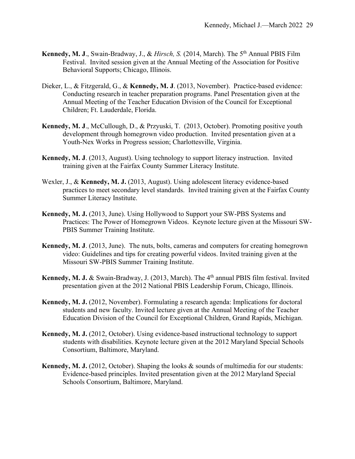- Kennedy, M. J., Swain-Bradway, J., & *Hirsch*, S. (2014, March). The 5<sup>th</sup> Annual PBIS Film Festival. Invited session given at the Annual Meeting of the Association for Positive Behavioral Supports; Chicago, Illinois.
- Dieker, L., & Fitzgerald, G., & **Kennedy, M. J**. (2013, November). Practice-based evidence: Conducting research in teacher preparation programs. Panel Presentation given at the Annual Meeting of the Teacher Education Division of the Council for Exceptional Children; Ft. Lauderdale, Florida.
- **Kennedy, M. J**., McCullough, D., & Przyuski, T. (2013, October). Promoting positive youth development through homegrown video production. Invited presentation given at a Youth-Nex Works in Progress session; Charlottesville, Virginia.
- **Kennedy, M. J**. (2013, August). Using technology to support literacy instruction. Invited training given at the Fairfax County Summer Literacy Institute.
- Wexler, J., & **Kennedy, M. J.** (2013, August). Using adolescent literacy evidence-based practices to meet secondary level standards. Invited training given at the Fairfax County Summer Literacy Institute.
- **Kennedy, M. J.** (2013, June). Using Hollywood to Support your SW-PBS Systems and Practices: The Power of Homegrown Videos. Keynote lecture given at the Missouri SW-PBIS Summer Training Institute.
- **Kennedy, M. J**. (2013, June). The nuts, bolts, cameras and computers for creating homegrown video: Guidelines and tips for creating powerful videos. Invited training given at the Missouri SW-PBIS Summer Training Institute.
- **Kennedy, M. J. & Swain-Bradway, J. (2013, March). The 4<sup>th</sup> annual PBIS film festival. Invited** presentation given at the 2012 National PBIS Leadership Forum, Chicago, Illinois.
- **Kennedy, M. J.** (2012, November). Formulating a research agenda: Implications for doctoral students and new faculty. Invited lecture given at the Annual Meeting of the Teacher Education Division of the Council for Exceptional Children, Grand Rapids, Michigan.
- **Kennedy, M. J.** (2012, October). Using evidence-based instructional technology to support students with disabilities. Keynote lecture given at the 2012 Maryland Special Schools Consortium, Baltimore, Maryland.
- **Kennedy, M. J.** (2012, October). Shaping the looks & sounds of multimedia for our students: Evidence-based principles. Invited presentation given at the 2012 Maryland Special Schools Consortium, Baltimore, Maryland.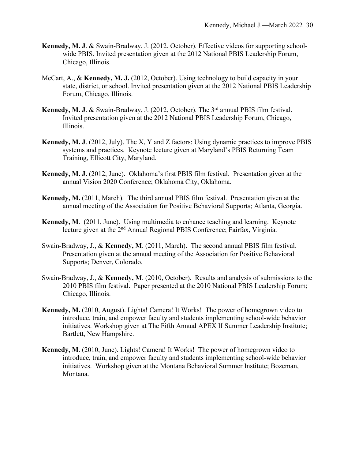- **Kennedy, M. J**. & Swain-Bradway, J. (2012, October). Effective videos for supporting schoolwide PBIS. Invited presentation given at the 2012 National PBIS Leadership Forum, Chicago, Illinois.
- McCart, A., & **Kennedy, M. J.** (2012, October). Using technology to build capacity in your state, district, or school. Invited presentation given at the 2012 National PBIS Leadership Forum, Chicago, Illinois.
- **Kennedy, M. J**. & Swain-Bradway, J. (2012, October). The 3rd annual PBIS film festival. Invited presentation given at the 2012 National PBIS Leadership Forum, Chicago, Illinois.
- **Kennedy, M. J**. (2012, July). The X, Y and Z factors: Using dynamic practices to improve PBIS systems and practices. Keynote lecture given at Maryland's PBIS Returning Team Training, Ellicott City, Maryland.
- **Kennedy, M. J.** (2012, June). Oklahoma's first PBIS film festival. Presentation given at the annual Vision 2020 Conference; Oklahoma City, Oklahoma.
- **Kennedy, M.** (2011, March). The third annual PBIS film festival. Presentation given at the annual meeting of the Association for Positive Behavioral Supports; Atlanta, Georgia.
- **Kennedy, M**. (2011, June). Using multimedia to enhance teaching and learning. Keynote lecture given at the 2<sup>nd</sup> Annual Regional PBIS Conference; Fairfax, Virginia.
- Swain-Bradway, J., & **Kennedy, M**. (2011, March). The second annual PBIS film festival. Presentation given at the annual meeting of the Association for Positive Behavioral Supports; Denver, Colorado.
- Swain-Bradway, J., & **Kennedy, M**. (2010, October). Results and analysis of submissions to the 2010 PBIS film festival. Paper presented at the 2010 National PBIS Leadership Forum; Chicago, Illinois.
- **Kennedy, M.** (2010, August). Lights! Camera! It Works! The power of homegrown video to introduce, train, and empower faculty and students implementing school-wide behavior initiatives. Workshop given at The Fifth Annual APEX II Summer Leadership Institute; Bartlett, New Hampshire.
- **Kennedy, M.** (2010, June). Lights! Camera! It Works! The power of homegrown video to introduce, train, and empower faculty and students implementing school-wide behavior initiatives. Workshop given at the Montana Behavioral Summer Institute; Bozeman, Montana.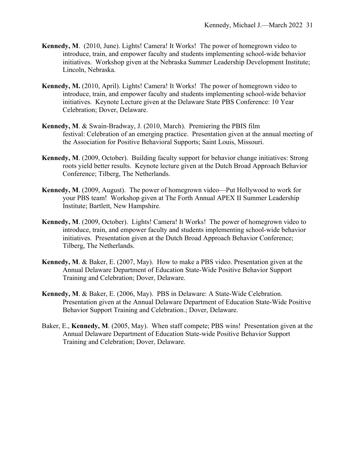- **Kennedy, M**. (2010, June). Lights! Camera! It Works! The power of homegrown video to introduce, train, and empower faculty and students implementing school-wide behavior initiatives. Workshop given at the Nebraska Summer Leadership Development Institute; Lincoln, Nebraska.
- **Kennedy, M.** (2010, April). Lights! Camera! It Works! The power of homegrown video to introduce, train, and empower faculty and students implementing school-wide behavior initiatives. Keynote Lecture given at the Delaware State PBS Conference: 10 Year Celebration; Dover, Delaware.
- **Kennedy, M**. & Swain-Bradway, J. (2010, March). Premiering the PBIS film festival: Celebration of an emerging practice. Presentation given at the annual meeting of the Association for Positive Behavioral Supports; Saint Louis, Missouri.
- **Kennedy, M**. (2009, October). Building faculty support for behavior change initiatives: Strong roots yield better results. Keynote lecture given at the Dutch Broad Approach Behavior Conference; Tilberg, The Netherlands.
- **Kennedy, M**. (2009, August). The power of homegrown video—Put Hollywood to work for your PBS team! Workshop given at The Forth Annual APEX II Summer Leadership Institute; Bartlett, New Hampshire.
- **Kennedy, M**. (2009, October). Lights! Camera! It Works! The power of homegrown video to introduce, train, and empower faculty and students implementing school-wide behavior initiatives. Presentation given at the Dutch Broad Approach Behavior Conference; Tilberg, The Netherlands.
- **Kennedy, M**. & Baker, E. (2007, May). How to make a PBS video. Presentation given at the Annual Delaware Department of Education State-Wide Positive Behavior Support Training and Celebration; Dover, Delaware.
- **Kennedy, M**. & Baker, E. (2006, May). PBS in Delaware: A State-Wide Celebration. Presentation given at the Annual Delaware Department of Education State-Wide Positive Behavior Support Training and Celebration.; Dover, Delaware.
- Baker, E., **Kennedy, M**. (2005, May). When staff compete; PBS wins! Presentation given at the Annual Delaware Department of Education State-wide Positive Behavior Support Training and Celebration; Dover, Delaware.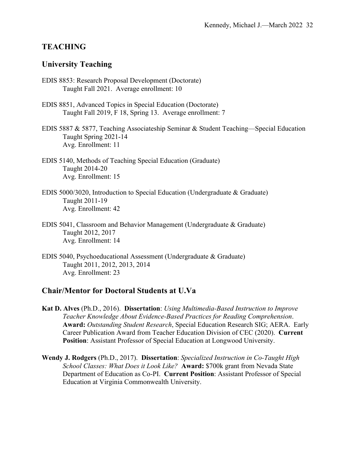## **TEACHING**

## **University Teaching**

- EDIS 8853: Research Proposal Development (Doctorate) Taught Fall 2021. Average enrollment: 10
- EDIS 8851, Advanced Topics in Special Education (Doctorate) Taught Fall 2019, F 18, Spring 13. Average enrollment: 7
- EDIS 5887 & 5877, Teaching Associateship Seminar & Student Teaching—Special Education Taught Spring 2021-14 Avg. Enrollment: 11
- EDIS 5140, Methods of Teaching Special Education (Graduate) Taught 2014-20 Avg. Enrollment: 15
- EDIS 5000/3020, Introduction to Special Education (Undergraduate & Graduate) Taught 2011-19 Avg. Enrollment: 42
- EDIS 5041, Classroom and Behavior Management (Undergraduate & Graduate) Taught 2012, 2017 Avg. Enrollment: 14
- EDIS 5040, Psychoeducational Assessment (Undergraduate & Graduate) Taught 2011, 2012, 2013, 2014 Avg. Enrollment: 23

## **Chair/Mentor for Doctoral Students at U.Va**

- **Kat D. Alves** (Ph.D., 2016). **Dissertation**: *Using Multimedia-Based Instruction to Improve Teacher Knowledge About Evidence-Based Practices for Reading Comprehension*. **Award:** *Outstanding Student Research*, Special Education Research SIG; AERA. Early Career Publication Award from Teacher Education Division of CEC (2020). **Current Position**: Assistant Professor of Special Education at Longwood University.
- **Wendy J. Rodgers** (Ph.D., 2017). **Dissertation**: *Specialized Instruction in Co-Taught High School Classes: What Does it Look Like?* **Award:** \$700k grant from Nevada State Department of Education as Co-PI. **Current Position**: Assistant Professor of Special Education at Virginia Commonwealth University.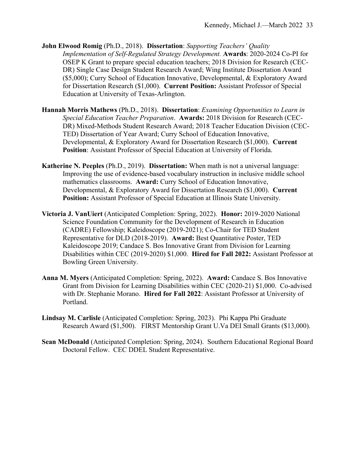- **John Elwood Romig** (Ph.D., 2018). **Dissertation**: *Supporting Teachers' Quality Implementation of Self-Regulated Strategy Development.* **Awards**: 2020-2024 Co-PI for OSEP K Grant to prepare special education teachers; 2018 Division for Research (CEC-DR) Single Case Design Student Research Award; Wing Institute Dissertation Award (\$5,000); Curry School of Education Innovative, Developmental, & Exploratory Award for Dissertation Research (\$1,000). **Current Position:** Assistant Professor of Special Education at University of Texas-Arlington.
- **Hannah Morris Mathews** (Ph.D., 2018). **Dissertation**: *Examining Opportunities to Learn in Special Education Teacher Preparation*. **Awards:** 2018 Division for Research (CEC-DR) Mixed-Methods Student Research Award; 2018 Teacher Education Division (CEC-TED) Dissertation of Year Award; Curry School of Education Innovative, Developmental, & Exploratory Award for Dissertation Research (\$1,000). **Current Position**: Assistant Professor of Special Education at University of Florida.
- **Katherine N. Peeples** (Ph.D., 2019). **Dissertation:** When math is not a universal language: Improving the use of evidence-based vocabulary instruction in inclusive middle school mathematics classrooms. **Award:** Curry School of Education Innovative, Developmental, & Exploratory Award for Dissertation Research (\$1,000). **Current Position:** Assistant Professor of Special Education at Illinois State University.
- **Victoria J. VanUiert** (Anticipated Completion: Spring, 2022). **Honor:** 2019-2020 National Science Foundation Community for the Development of Research in Education (CADRE) Fellowship; Kaleidoscope (2019-2021); Co-Chair for TED Student Representative for DLD (2018-2019). **Award:** Best Quantitative Poster, TED Kaleidoscope 2019; Candace S. Bos Innovative Grant from Division for Learning Disabilities within CEC (2019-2020) \$1,000. **Hired for Fall 2022:** Assistant Professor at Bowling Green University.
- **Anna M. Myers** (Anticipated Completion: Spring, 2022). **Award:** Candace S. Bos Innovative Grant from Division for Learning Disabilities within CEC (2020-21) \$1,000. Co-advised with Dr. Stephanie Morano. **Hired for Fall 2022**: Assistant Professor at University of Portland.
- **Lindsay M. Carlisle** (Anticipated Completion: Spring, 2023). Phi Kappa Phi Graduate Research Award (\$1,500). FIRST Mentorship Grant U.Va DEI Small Grants (\$13,000).
- **Sean McDonald** (Anticipated Completion: Spring, 2024). Southern Educational Regional Board Doctoral Fellow. CEC DDEL Student Representative.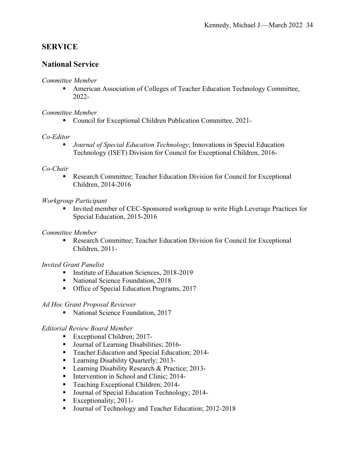## **SERVICE**

## **National Service**

#### *Committee Member*

■ American Association of Colleges of Teacher Education Technology Committee, 2022-

#### *Committee Member*

■ Council for Exceptional Children Publication Committee, 2021-

#### *Co-Editor*

■ *Journal of Special Education Technology*; Innovations in Special Education Technology (ISET) Division for Council for Exceptional Children, 2016-

#### *Co-Chair*

■ Research Committee; Teacher Education Division for Council for Exceptional Children, 2014-2016

### *Workgroup Participant*

■ Invited member of CEC-Sponsored workgroup to write High Leverage Practices for Special Education, 2015-2016

#### *Committee Member*

■ Research Committee; Teacher Education Division for Council for Exceptional Children, 2011-

### *Invited Grant Panelist*

- Institute of Education Sciences, 2018-2019
- National Science Foundation, 2018
- Office of Special Education Programs, 2017

### *Ad Hoc Grant Proposal Reviewer*

■ National Science Foundation, 2017

#### *Editorial Review Board Member*

- Exceptional Children; 2017-
- Journal of Learning Disabilities; 2016-
- Teacher Education and Special Education; 2014-
- Learning Disability Quarterly; 2013-
- Learning Disability Research & Practice; 2013-
- Intervention in School and Clinic; 2014-
- Teaching Exceptional Children; 2014-
- Journal of Special Education Technology; 2014-
- Exceptionality; 2011-
- Journal of Technology and Teacher Education; 2012-2018